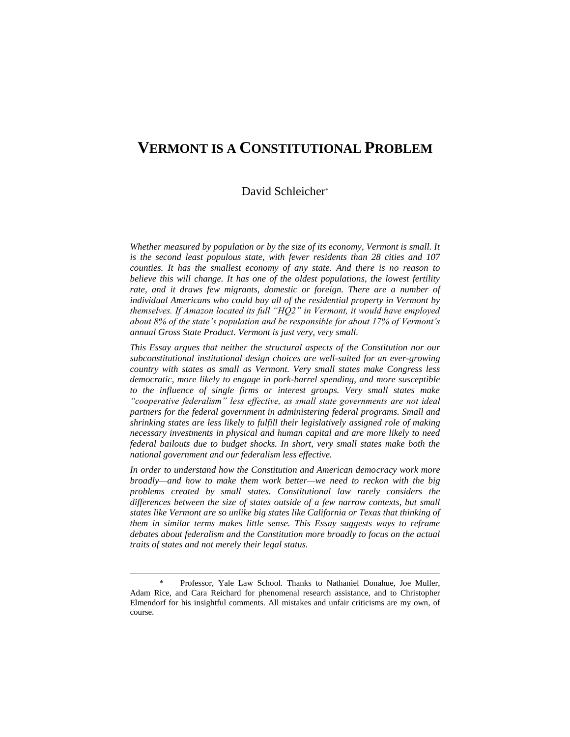# **VERMONT IS A CONSTITUTIONAL PROBLEM**

# David Schleicher\*

*Whether measured by population or by the size of its economy, Vermont is small. It is the second least populous state, with fewer residents than 28 cities and 107 counties. It has the smallest economy of any state. And there is no reason to believe this will change. It has one of the oldest populations, the lowest fertility rate, and it draws few migrants, domestic or foreign. There are a number of individual Americans who could buy all of the residential property in Vermont by themselves. If Amazon located its full "HQ2" in Vermont, it would have employed about 8% of the state's population and be responsible for about 17% of Vermont's annual Gross State Product. Vermont is just very, very small.*

*This Essay argues that neither the structural aspects of the Constitution nor our subconstitutional institutional design choices are well-suited for an ever-growing country with states as small as Vermont. Very small states make Congress less democratic, more likely to engage in pork-barrel spending, and more susceptible to the influence of single firms or interest groups. Very small states make "cooperative federalism" less effective, as small state governments are not ideal partners for the federal government in administering federal programs. Small and shrinking states are less likely to fulfill their legislatively assigned role of making necessary investments in physical and human capital and are more likely to need federal bailouts due to budget shocks. In short, very small states make both the national government and our federalism less effective.*

*In order to understand how the Constitution and American democracy work more broadly—and how to make them work better—we need to reckon with the big problems created by small states. Constitutional law rarely considers the differences between the size of states outside of a few narrow contexts, but small states like Vermont are so unlike big states like California or Texas that thinking of them in similar terms makes little sense. This Essay suggests ways to reframe debates about federalism and the Constitution more broadly to focus on the actual traits of states and not merely their legal status.*

Professor, Yale Law School. Thanks to Nathaniel Donahue, Joe Muller, Adam Rice, and Cara Reichard for phenomenal research assistance, and to Christopher Elmendorf for his insightful comments. All mistakes and unfair criticisms are my own, of course.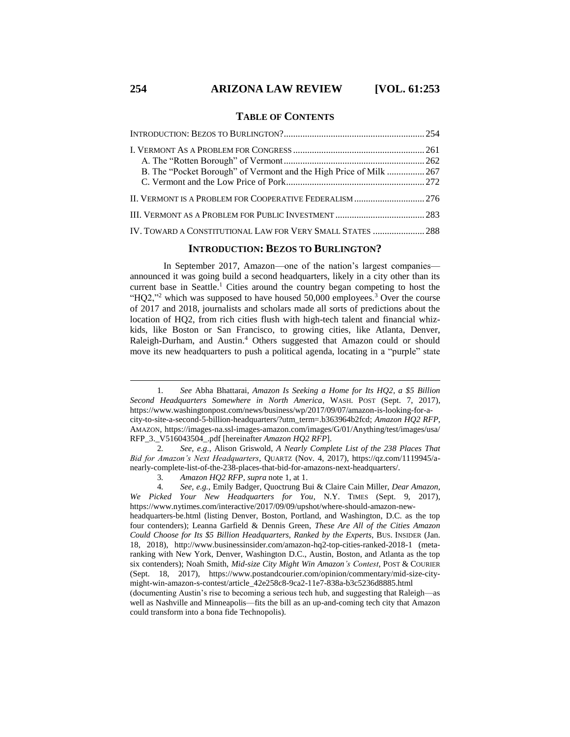# **TABLE OF CONTENTS**

| B. The "Pocket Borough" of Vermont and the High Price of Milk  267 |  |
|--------------------------------------------------------------------|--|
|                                                                    |  |
| II. VERMONT IS A PROBLEM FOR COOPERATIVE FEDERALISM  276           |  |
|                                                                    |  |
| IV. TOWARD A CONSTITUTIONAL LAW FOR VERY SMALL STATES  288         |  |

#### **INTRODUCTION: BEZOS TO BURLINGTON?**

In September 2017, Amazon—one of the nation's largest companies announced it was going build a second headquarters, likely in a city other than its current base in Seattle.<sup>1</sup> Cities around the country began competing to host the "HQ2,"<sup>2</sup> which was supposed to have housed 50,000 employees.<sup>3</sup> Over the course of 2017 and 2018, journalists and scholars made all sorts of predictions about the location of HQ2, from rich cities flush with high-tech talent and financial whizkids, like Boston or San Francisco, to growing cities, like Atlanta, Denver, Raleigh-Durham, and Austin.<sup>4</sup> Others suggested that Amazon could or should move its new headquarters to push a political agenda, locating in a "purple" state

<sup>1</sup>*. See* Abha Bhattarai, *Amazon Is Seeking a Home for Its HQ2, a \$5 Billion Second Headquarters Somewhere in North America*, WASH. POST (Sept. 7, 2017), https://www.washingtonpost.com/news/business/wp/2017/09/07/amazon-is-looking-for-acity-to-site-a-second-5-billion-headquarters/?utm\_term=.b363964b2fcd; *Amazon HQ2 RFP*, AMAZON, https://images-na.ssl-images-amazon.com/images/G/01/Anything/test/images/usa/ RFP\_3.\_V516043504\_.pdf [hereinafter *Amazon HQ2 RFP*].

<sup>2</sup>*. See, e.g.*, Alison Griswold, *A Nearly Complete List of the 238 Places That Bid for Amazon's Next Headquarters*, QUARTZ (Nov. 4, 2017), https://qz.com/1119945/anearly-complete-list-of-the-238-places-that-bid-for-amazons-next-headquarters/.

<sup>3</sup>*. Amazon HQ2 RFP*, *supra* note 1, at 1.

<sup>4</sup>*. See, e.g.*, Emily Badger, Quoctrung Bui & Claire Cain Miller, *Dear Amazon, We Picked Your New Headquarters for You*, N.Y. TIMES (Sept. 9, 2017), https://www.nytimes.com/interactive/2017/09/09/upshot/where-should-amazon-newheadquarters-be.html (listing Denver, Boston, Portland, and Washington, D.C. as the top four contenders); Leanna Garfield & Dennis Green, *These Are All of the Cities Amazon Could Choose for Its \$5 Billion Headquarters, Ranked by the Experts*, BUS. INSIDER (Jan. 18, 2018), http://www.businessinsider.com/amazon-hq2-top-cities-ranked-2018-1 (metaranking with New York, Denver, Washington D.C., Austin, Boston, and Atlanta as the top six contenders); Noah Smith, *Mid-size City Might Win Amazon's Contest*, POST & COURIER (Sept. 18, 2017), https://www.postandcourier.com/opinion/commentary/mid-size-citymight-win-amazon-s-contest/article\_42e258c8-9ca2-11e7-838a-b3c5236d8885.html (documenting Austin's rise to becoming a serious tech hub, and suggesting that Raleigh—as well as Nashville and Minneapolis—fits the bill as an up-and-coming tech city that Amazon could transform into a bona fide Technopolis).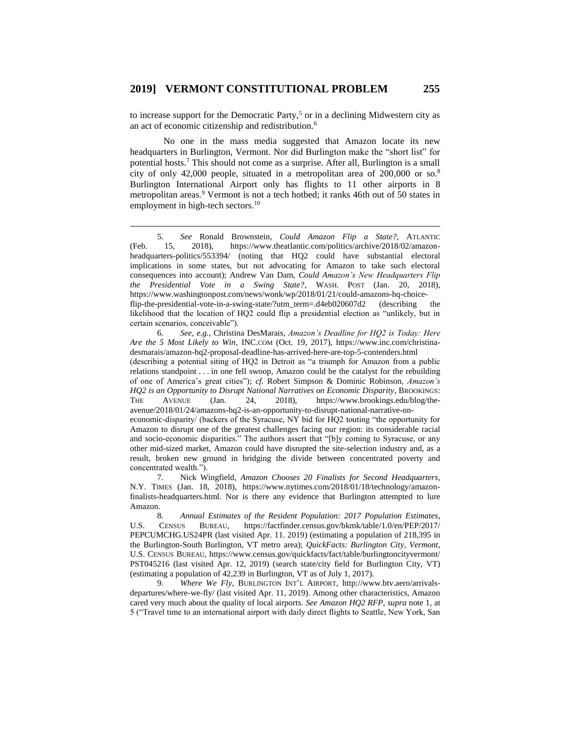$\overline{a}$ 

to increase support for the Democratic Party,<sup>5</sup> or in a declining Midwestern city as an act of economic citizenship and redistribution.<sup>6</sup>

No one in the mass media suggested that Amazon locate its new headquarters in Burlington, Vermont. Nor did Burlington make the "short list" for potential hosts.<sup>7</sup> This should not come as a surprise. After all, Burlington is a small city of only 42,000 people, situated in a metropolitan area of 200,000 or so.<sup>8</sup> Burlington International Airport only has flights to 11 other airports in 8 metropolitan areas.<sup>9</sup> Vermont is not a tech hotbed; it ranks 46th out of 50 states in employment in high-tech sectors.<sup>10</sup>

6*. See, e.g.*, Christina DesMarais, *Amazon's Deadline for HQ2 is Today: Here Are the 5 Most Likely to Win*, INC.COM (Oct. 19, 2017), https://www.inc.com/christinadesmarais/amazon-hq2-proposal-deadline-has-arrived-here-are-top-5-contenders.html (describing a potential siting of HQ2 in Detroit as "a triumph for Amazon from a public relations standpoint . . . in one fell swoop, Amazon could be the catalyst for the rebuilding of one of America's great cities"); *cf.* Robert Simpson & Dominic Robinson, *Amazon's HQ2 is an Opportunity to Disrupt National Narratives on Economic Disparity*, BROOKINGS: THE AVENUE (Jan. 24, 2018), https://www.brookings.edu/blog/theavenue/2018/01/24/amazons-hq2-is-an-opportunity-to-disrupt-national-narrative-oneconomic-disparity/ (backers of the Syracuse, NY bid for HQ2 touting "the opportunity for Amazon to disrupt one of the greatest challenges facing our region: its considerable racial and socio-economic disparities." The authors assert that "[b]y coming to Syracuse, or any other mid-sized market, Amazon could have disrupted the site-selection industry and, as a result, broken new ground in bridging the divide between concentrated poverty and concentrated wealth.").

7. Nick Wingfield, *Amazon Chooses 20 Finalists for Second Headquarters*, N.Y. TIMES (Jan. 18, 2018), https://www.nytimes.com/2018/01/18/technology/amazonfinalists-headquarters.html. Nor is there any evidence that Burlington attempted to lure Amazon.

9*. Where We Fly*, BURLINGTON INT'L AIRPORT, http://www.btv.aero/arrivalsdepartures/where-we-fly/ (last visited Apr. 11, 2019). Among other characteristics, Amazon cared very much about the quality of local airports. *See Amazon HQ2 RFP*, *supra* note 1, at 5 ("Travel time to an international airport with daily direct flights to Seattle, New York, San

<sup>5</sup>*. See* Ronald Brownstein, *Could Amazon Flip a State?*, ATLANTIC (Feb. 15, 2018), https://www.theatlantic.com/politics/archive/2018/02/amazonheadquarters-politics/553394/ (noting that HQ2 could have substantial electoral implications in some states, but not advocating for Amazon to take such electoral consequences into account); Andrew Van Dam, *Could Amazon's New Headquarters Flip the Presidential Vote in a Swing State?*, WASH. POST (Jan. 20, 2018), https://www.washingtonpost.com/news/wonk/wp/2018/01/21/could-amazons-hq-choiceflip-the-presidential-vote-in-a-swing-state/?utm\_term=.d4eb020607d2 (describing the likelihood that the location of HQ2 could flip a presidential election as "unlikely, but in certain scenarios, conceivable").

<sup>8</sup>*. Annual Estimates of the Resident Population: 2017 Population Estimates*, U.S. CENSUS BUREAU, https://factfinder.census.gov/bkmk/table/1.0/en/PEP/2017/ PEPCUMCHG.US24PR (last visited Apr. 11. 2019) (estimating a population of 218,395 in the Burlington-South Burlington, VT metro area); *QuickFacts: Burlington City, Vermont*, U.S. CENSUS BUREAU, https://www.census.gov/quickfacts/fact/table/burlingtoncityvermont/ PST045216 (last visited Apr. 12, 2019) (search state/city field for Burlington City, VT) (estimating a population of 42,239 in Burlington, VT as of July 1, 2017).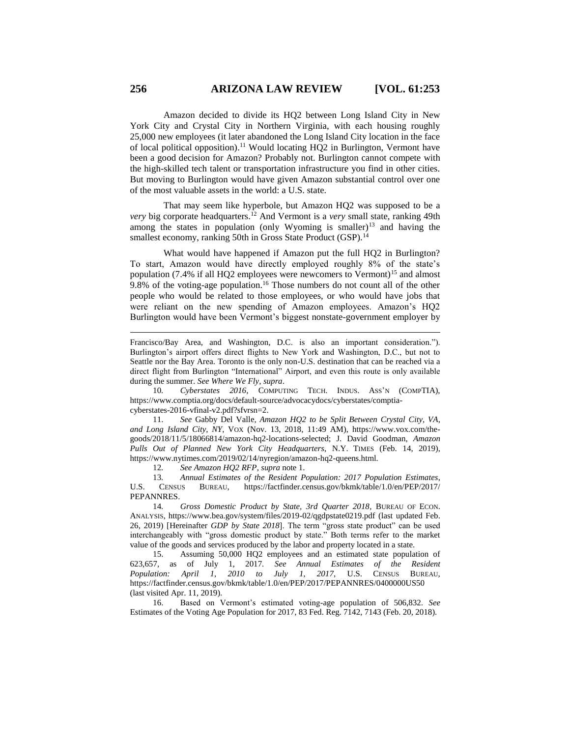Amazon decided to divide its HQ2 between Long Island City in New York City and Crystal City in Northern Virginia, with each housing roughly 25,000 new employees (it later abandoned the Long Island City location in the face of local political opposition).<sup>11</sup> Would locating HQ2 in Burlington, Vermont have been a good decision for Amazon? Probably not. Burlington cannot compete with the high-skilled tech talent or transportation infrastructure you find in other cities. But moving to Burlington would have given Amazon substantial control over one of the most valuable assets in the world: a U.S. state.

That may seem like hyperbole, but Amazon HQ2 was supposed to be a *very* big corporate headquarters.<sup>12</sup> And Vermont is a *very* small state, ranking 49th among the states in population (only Wyoming is smaller)<sup>13</sup> and having the smallest economy, ranking 50th in Gross State Product (GSP).<sup>14</sup>

What would have happened if Amazon put the full HQ2 in Burlington? To start, Amazon would have directly employed roughly 8% of the state's population (7.4% if all HQ2 employees were newcomers to Vermont)<sup>15</sup> and almost 9.8% of the voting-age population.<sup>16</sup> Those numbers do not count all of the other people who would be related to those employees, or who would have jobs that were reliant on the new spending of Amazon employees. Amazon's HQ2 Burlington would have been Vermont's biggest nonstate-government employer by

Francisco/Bay Area, and Washington, D.C. is also an important consideration."). Burlington's airport offers direct flights to New York and Washington, D.C., but not to Seattle nor the Bay Area. Toronto is the only non-U.S. destination that can be reached via a direct flight from Burlington "International" Airport, and even this route is only available during the summer. *See Where We Fly*, *supra*.

10*. Cyberstates 2016*, COMPUTING TECH. INDUS. ASS'N (COMPTIA), https://www.comptia.org/docs/default-source/advocacydocs/cyberstates/comptiacyberstates-2016-vfinal-v2.pdf?sfvrsn=2.

11. *See* Gabby Del Valle, *Amazon HQ2 to be Split Between Crystal City, VA, and Long Island City, NY*, VOX (Nov. 13, 2018, 11:49 AM), https://www.vox.com/thegoods/2018/11/5/18066814/amazon-hq2-locations-selected; J. David Goodman, *Amazon Pulls Out of Planned New York City Headquarters*, N.Y. TIMES (Feb. 14, 2019), https://www.nytimes.com/2019/02/14/nyregion/amazon-hq2-queens.html.

12*. See Amazon HQ2 RFP*, *supra* note 1.

13*. Annual Estimates of the Resident Population: 2017 Population Estimates*, U.S. CENSUS BUREAU, https://factfinder.census.gov/bkmk/table/1.0/en/PEP/2017/ PEPANNRES.

14*. Gross Domestic Product by State, 3rd Quarter 2018*, BUREAU OF ECON. ANALYSIS, https://www.bea.gov/system/files/2019-02/qgdpstate0219.pdf (last updated Feb. 26, 2019) [Hereinafter *GDP by State 2018*]. The term "gross state product" can be used interchangeably with "gross domestic product by state." Both terms refer to the market value of the goods and services produced by the labor and property located in a state.

15. Assuming 50,000 HQ2 employees and an estimated state population of 623,657, as of July 1, 2017. *See Annual Estimates of the Resident Population: April 1, 2010 to July 1, 2017*, U.S. CENSUS BUREAU, https://factfinder.census.gov/bkmk/table/1.0/en/PEP/2017/PEPANNRES/0400000US50 (last visited Apr. 11, 2019).

16. Based on Vermont's estimated voting-age population of 506,832. *See*  Estimates of the Voting Age Population for 2017, 83 Fed. Reg. 7142, 7143 (Feb. 20, 2018).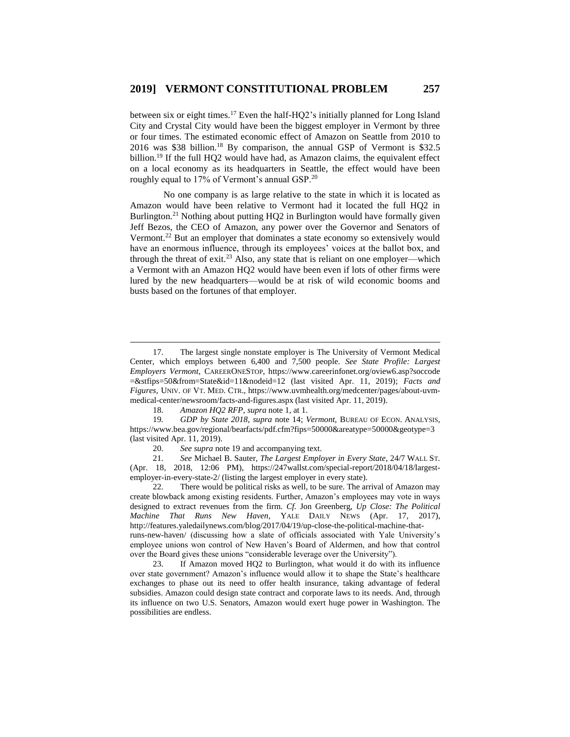between six or eight times.<sup>17</sup> Even the half-HQ2's initially planned for Long Island City and Crystal City would have been the biggest employer in Vermont by three or four times. The estimated economic effect of Amazon on Seattle from 2010 to 2016 was \$38 billion. <sup>18</sup> By comparison, the annual GSP of Vermont is \$32.5 billion.<sup>19</sup> If the full HQ2 would have had, as Amazon claims, the equivalent effect on a local economy as its headquarters in Seattle, the effect would have been roughly equal to 17% of Vermont's annual GSP.<sup>20</sup>

No one company is as large relative to the state in which it is located as Amazon would have been relative to Vermont had it located the full HQ2 in Burlington.<sup>21</sup> Nothing about putting HQ2 in Burlington would have formally given Jeff Bezos, the CEO of Amazon, any power over the Governor and Senators of Vermont.<sup>22</sup> But an employer that dominates a state economy so extensively would have an enormous influence, through its employees' voices at the ballot box, and through the threat of exit.<sup>23</sup> Also, any state that is reliant on one employer—which a Vermont with an Amazon HQ2 would have been even if lots of other firms were lured by the new headquarters—would be at risk of wild economic booms and busts based on the fortunes of that employer.

<sup>17.</sup> The largest single nonstate employer is The University of Vermont Medical Center, which employs between 6,400 and 7,500 people. *See State Profile: Largest Employers Vermont*, CAREERONESTOP, https://www.careerinfonet.org/oview6.asp?soccode =&stfips=50&from=State&id=11&nodeid=12 (last visited Apr. 11, 2019); *Facts and Figures*, UNIV. OF VT. MED. CTR., https://www.uvmhealth.org/medcenter/pages/about-uvmmedical-center/newsroom/facts-and-figures.aspx (last visited Apr. 11, 2019).

<sup>18.</sup> *Amazon HQ2 RFP*, *supra* note 1, at 1.

<sup>19</sup>*. GDP by State 2018*, *supra* note 14; *Vermont*, BUREAU OF ECON. ANALYSIS, https://www.bea.gov/regional/bearfacts/pdf.cfm?fips=50000&areatype=50000&geotype=3 (last visited Apr. 11, 2019).

<sup>20.</sup> *See supra* note 19 and accompanying text.

<sup>21.</sup> *See* Michael B. Sauter, *The Largest Employer in Every State*, 24/7 WALL ST. (Apr. 18, 2018, 12:06 PM), https://247wallst.com/special-report/2018/04/18/largestemployer-in-every-state-2/ (listing the largest employer in every state).

<sup>22.</sup> There would be political risks as well, to be sure. The arrival of Amazon may create blowback among existing residents. Further, Amazon's employees may vote in ways designed to extract revenues from the firm. *Cf.* Jon Greenberg, *Up Close: The Political Machine That Runs New Haven*, YALE DAILY NEWS (Apr. 17, 2017), http://features.yaledailynews.com/blog/2017/04/19/up-close-the-political-machine-that-

runs-new-haven/ (discussing how a slate of officials associated with Yale University's employee unions won control of New Haven's Board of Aldermen, and how that control over the Board gives these unions "considerable leverage over the University").

<sup>23.</sup> If Amazon moved HQ2 to Burlington, what would it do with its influence over state government? Amazon's influence would allow it to shape the State's healthcare exchanges to phase out its need to offer health insurance, taking advantage of federal subsidies. Amazon could design state contract and corporate laws to its needs. And, through its influence on two U.S. Senators, Amazon would exert huge power in Washington. The possibilities are endless.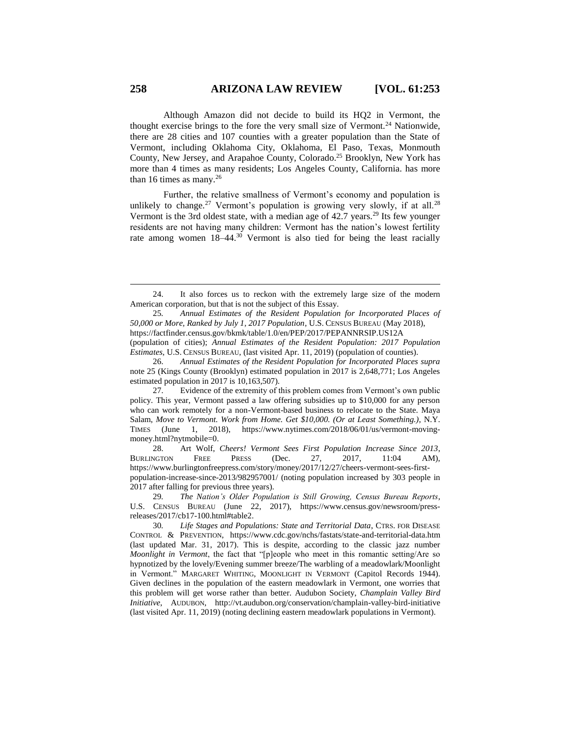Although Amazon did not decide to build its HQ2 in Vermont, the thought exercise brings to the fore the very small size of Vermont.<sup>24</sup> Nationwide, there are 28 cities and 107 counties with a greater population than the State of Vermont, including Oklahoma City, Oklahoma, El Paso, Texas, Monmouth County, New Jersey, and Arapahoe County, Colorado. <sup>25</sup> Brooklyn, New York has more than 4 times as many residents; Los Angeles County, California. has more than 16 times as many. $26$ 

Further, the relative smallness of Vermont's economy and population is unlikely to change.<sup>27</sup> Vermont's population is growing very slowly, if at all.<sup>28</sup> Vermont is the 3rd oldest state, with a median age of  $42.7$  years.<sup>29</sup> Its few younger residents are not having many children: Vermont has the nation's lowest fertility rate among women  $18-44.^{30}$  Vermont is also tied for being the least racially

(population of cities); *Annual Estimates of the Resident Population: 2017 Population Estimates*, U.S. CENSUS BUREAU, (last visited Apr. 11, 2019) (population of counties).

29*. The Nation's Older Population is Still Growing, Census Bureau Reports*, U.S. CENSUS BUREAU (June 22, 2017), https://www.census.gov/newsroom/pressreleases/2017/cb17-100.html#table2.

<sup>24.</sup> It also forces us to reckon with the extremely large size of the modern American corporation, but that is not the subject of this Essay.

<sup>25</sup>*. Annual Estimates of the Resident Population for Incorporated Places of 50,000 or More, Ranked by July 1, 2017 Population*, U.S. CENSUS BUREAU (May 2018), https://factfinder.census.gov/bkmk/table/1.0/en/PEP/2017/PEPANNRSIP.US12A

<sup>26.</sup> *Annual Estimates of the Resident Population for Incorporated Places supra*  note 25 (Kings County (Brooklyn) estimated population in 2017 is 2,648,771; Los Angeles estimated population in 2017 is 10,163,507).

<sup>27.</sup> Evidence of the extremity of this problem comes from Vermont's own public policy. This year, Vermont passed a law offering subsidies up to \$10,000 for any person who can work remotely for a non-Vermont-based business to relocate to the State. Maya Salam, *Move to Vermont. Work from Home. Get \$10,000. (Or at Least Something.)*, N.Y. TIMES (June 1, 2018), https://www.nytimes.com/2018/06/01/us/vermont-movingmoney.html?nytmobile=0.

<sup>28.</sup> Art Wolf, *Cheers! Vermont Sees First Population Increase Since 2013*, BURLINGTON FREE PRESS (Dec. 27, 2017, 11:04 AM), https://www.burlingtonfreepress.com/story/money/2017/12/27/cheers-vermont-sees-firstpopulation-increase-since-2013/982957001/ (noting population increased by 303 people in 2017 after falling for previous three years).

<sup>30</sup>*. Life Stages and Populations: State and Territorial Data*, CTRS. FOR DISEASE CONTROL & PREVENTION, https://www.cdc.gov/nchs/fastats/state-and-territorial-data.htm (last updated Mar. 31, 2017). This is despite, according to the classic jazz number *Moonlight in Vermont*, the fact that "[p]eople who meet in this romantic setting/Are so hypnotized by the lovely/Evening summer breeze/The warbling of a meadowlark/Moonlight in Vermont." MARGARET WHITING, MOONLIGHT IN VERMONT (Capitol Records 1944). Given declines in the population of the eastern meadowlark in Vermont, one worries that this problem will get worse rather than better. Audubon Society, *Champlain Valley Bird Initiative*, AUDUBON, http://vt.audubon.org/conservation/champlain-valley-bird-initiative (last visited Apr. 11, 2019) (noting declining eastern meadowlark populations in Vermont).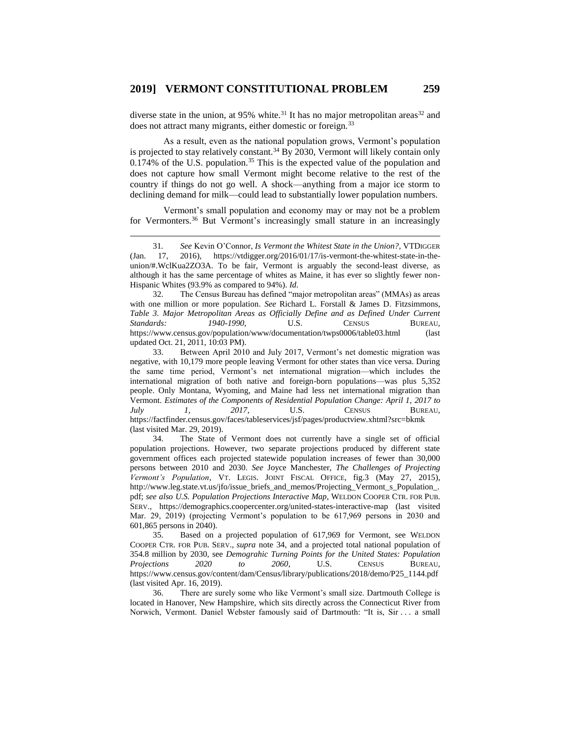diverse state in the union, at 95% white.<sup>31</sup> It has no major metropolitan areas<sup>32</sup> and does not attract many migrants, either domestic or foreign.<sup>33</sup>

As a result, even as the national population grows, Vermont's population is projected to stay relatively constant.<sup>34</sup> By 2030, Vermont will likely contain only  $0.174\%$  of the U.S. population.<sup>35</sup> This is the expected value of the population and does not capture how small Vermont might become relative to the rest of the country if things do not go well. A shock—anything from a major ice storm to declining demand for milk—could lead to substantially lower population numbers.

Vermont's small population and economy may or may not be a problem for Vermonters.<sup>36</sup> But Vermont's increasingly small stature in an increasingly

 $\overline{a}$ 

34. The State of Vermont does not currently have a single set of official population projections. However, two separate projections produced by different state government offices each projected statewide population increases of fewer than 30,000 persons between 2010 and 2030. *See* Joyce Manchester, *The Challenges of Projecting Vermont's Population*, VT. LEGIS. JOINT FISCAL OFFICE, fig.3 (May 27, 2015), http://www.leg.state.vt.us/jfo/issue\_briefs\_and\_memos/Projecting\_Vermont\_s\_Population\_. pdf; *see also U.S. Population Projections Interactive Map*, WELDON COOPER CTR. FOR PUB. SERV., https://demographics.coopercenter.org/united-states-interactive-map (last visited Mar. 29, 2019) (projecting Vermont's population to be 617,969 persons in 2030 and 601,865 persons in 2040).

36. There are surely some who like Vermont's small size. Dartmouth College is located in Hanover, New Hampshire, which sits directly across the Connecticut River from Norwich, Vermont. Daniel Webster famously said of Dartmouth: "It is, Sir . . . a small

<sup>31</sup>*. See* Kevin O'Connor, *Is Vermont the Whitest State in the Union?*, VTDIGGER (Jan. 17, 2016), https://vtdigger.org/2016/01/17/is-vermont-the-whitest-state-in-theunion/#.WclKua2ZO3A. To be fair, Vermont is arguably the second-least diverse, as although it has the same percentage of whites as Maine, it has ever so slightly fewer non-Hispanic Whites (93.9% as compared to 94%). *Id.*

<sup>32.</sup> The Census Bureau has defined "major metropolitan areas" (MMAs) as areas with one million or more population. *See* Richard L. Forstall & James D. Fitzsimmons, *Table 3. Major Metropolitan Areas as Officially Define and as Defined Under Current Standards: 1940-1990*, U.S. CENSUS BUREAU, https://www.census.gov/population/www/documentation/twps0006/table03.html (last updated Oct. 21, 2011, 10:03 PM).

<sup>33.</sup> Between April 2010 and July 2017, Vermont's net domestic migration was negative, with 10,179 more people leaving Vermont for other states than vice versa. During the same time period, Vermont's net international migration—which includes the international migration of both native and foreign-born populations—was plus 5,352 people. Only Montana, Wyoming, and Maine had less net international migration than Vermont. *Estimates of the Components of Residential Population Change: April 1, 2017 to July 1, 2017*, U.S. CENSUS BUREAU, https://factfinder.census.gov/faces/tableservices/jsf/pages/productview.xhtml?src=bkmk (last visited Mar. 29, 2019).

<sup>35.</sup> Based on a projected population of 617,969 for Vermont, see WELDON COOPER CTR. FOR PUB. SERV., *supra* note 34, and a projected total national population of 354.8 million by 2030, see *Demograhic Turning Points for the United States: Population Projections 2020 to 2060*, U.S. CENSUS BUREAU, https://www.census.gov/content/dam/Census/library/publications/2018/demo/P25\_1144.pdf (last visited Apr. 16, 2019).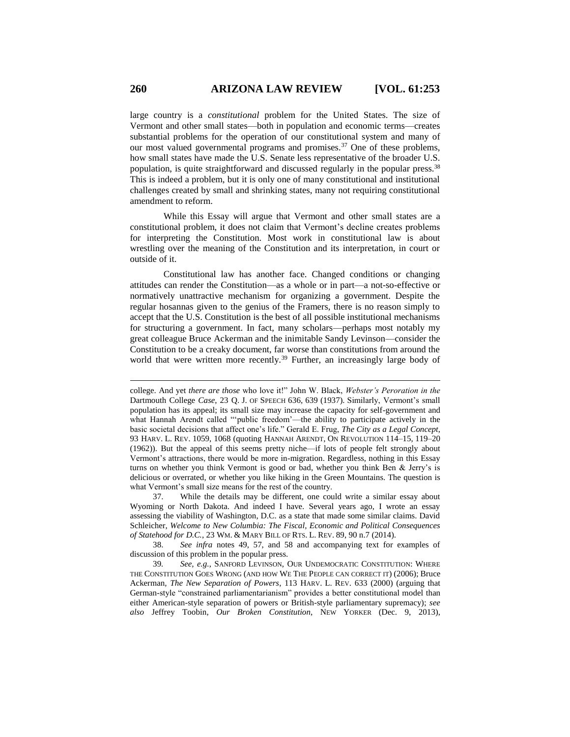large country is a *constitutional* problem for the United States. The size of Vermont and other small states—both in population and economic terms—creates substantial problems for the operation of our constitutional system and many of our most valued governmental programs and promises.<sup>37</sup> One of these problems, how small states have made the U.S. Senate less representative of the broader U.S. population, is quite straightforward and discussed regularly in the popular press.<sup>38</sup> This is indeed a problem, but it is only one of many constitutional and institutional challenges created by small and shrinking states, many not requiring constitutional amendment to reform.

While this Essay will argue that Vermont and other small states are a constitutional problem, it does not claim that Vermont's decline creates problems for interpreting the Constitution. Most work in constitutional law is about wrestling over the meaning of the Constitution and its interpretation, in court or outside of it.

Constitutional law has another face. Changed conditions or changing attitudes can render the Constitution—as a whole or in part—a not-so-effective or normatively unattractive mechanism for organizing a government. Despite the regular hosannas given to the genius of the Framers, there is no reason simply to accept that the U.S. Constitution is the best of all possible institutional mechanisms for structuring a government. In fact, many scholars—perhaps most notably my great colleague Bruce Ackerman and the inimitable Sandy Levinson—consider the Constitution to be a creaky document, far worse than constitutions from around the world that were written more recently.<sup>39</sup> Further, an increasingly large body of

38. *See infra* notes 49, 57, and 58 and accompanying text for examples of discussion of this problem in the popular press.

college. And yet *there are those* who love it!" John W. Black, *Webster's Peroration in the*  Dartmouth College *Case*, 23 Q. J. OF SPEECH 636, 639 (1937). Similarly, Vermont's small population has its appeal; its small size may increase the capacity for self-government and what Hannah Arendt called "'public freedom'—the ability to participate actively in the basic societal decisions that affect one's life." Gerald E. Frug, *The City as a Legal Concept*, 93 HARV. L. REV. 1059, 1068 (quoting HANNAH ARENDT, ON REVOLUTION 114–15, 119–20 (1962)). But the appeal of this seems pretty niche—if lots of people felt strongly about Vermont's attractions, there would be more in-migration. Regardless, nothing in this Essay turns on whether you think Vermont is good or bad, whether you think Ben & Jerry's is delicious or overrated, or whether you like hiking in the Green Mountains. The question is what Vermont's small size means for the rest of the country.

<sup>37.</sup> While the details may be different, one could write a similar essay about Wyoming or North Dakota. And indeed I have. Several years ago, I wrote an essay assessing the viability of Washington, D.C. as a state that made some similar claims. David Schleicher, *Welcome to New Columbia: The Fiscal, Economic and Political Consequences of Statehood for D.C.*, 23 WM. & MARY BILL OF RTS. L. REV. 89, 90 n.7 (2014).

<sup>39</sup>*. See, e.g.*, SANFORD LEVINSON, OUR UNDEMOCRATIC CONSTITUTION: WHERE THE CONSTITUTION GOES WRONG (AND HOW WE THE PEOPLE CAN CORRECT IT) (2006); Bruce Ackerman*, The New Separation of Powers*, 113 HARV. L. REV. 633 (2000) (arguing that German-style "constrained parliamentarianism" provides a better constitutional model than either American-style separation of powers or British-style parliamentary supremacy); *see also* Jeffrey Toobin, *Our Broken Constitution*, NEW YORKER (Dec. 9, 2013),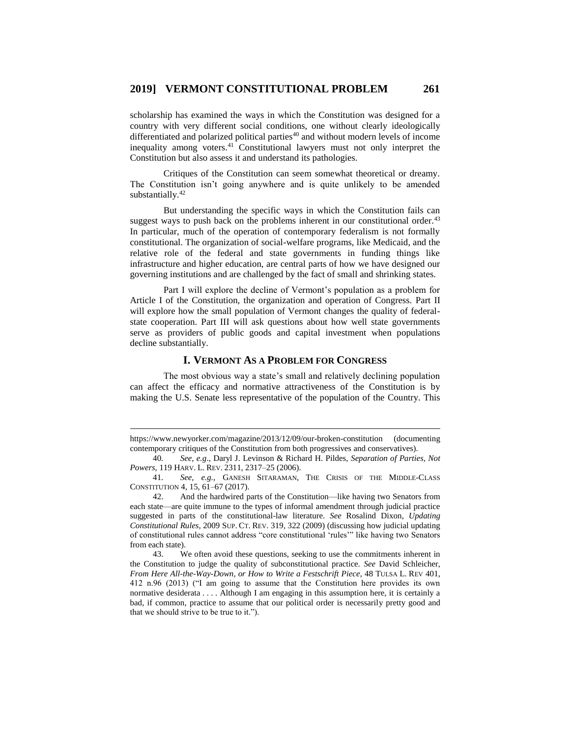scholarship has examined the ways in which the Constitution was designed for a country with very different social conditions, one without clearly ideologically differentiated and polarized political parties $40$  and without modern levels of income inequality among voters.<sup>41</sup> Constitutional lawyers must not only interpret the Constitution but also assess it and understand its pathologies.

Critiques of the Constitution can seem somewhat theoretical or dreamy. The Constitution isn't going anywhere and is quite unlikely to be amended substantially.<sup>42</sup>

But understanding the specific ways in which the Constitution fails can suggest ways to push back on the problems inherent in our constitutional order.<sup>43</sup> In particular, much of the operation of contemporary federalism is not formally constitutional. The organization of social-welfare programs, like Medicaid, and the relative role of the federal and state governments in funding things like infrastructure and higher education, are central parts of how we have designed our governing institutions and are challenged by the fact of small and shrinking states.

Part I will explore the decline of Vermont's population as a problem for Article I of the Constitution, the organization and operation of Congress. Part II will explore how the small population of Vermont changes the quality of federalstate cooperation. Part III will ask questions about how well state governments serve as providers of public goods and capital investment when populations decline substantially.

# **I. VERMONT AS A PROBLEM FOR CONGRESS**

The most obvious way a state's small and relatively declining population can affect the efficacy and normative attractiveness of the Constitution is by making the U.S. Senate less representative of the population of the Country. This

https://www.newyorker.com/magazine/2013/12/09/our-broken-constitution (documenting contemporary critiques of the Constitution from both progressives and conservatives).

<sup>40</sup>*. See, e.g*., Daryl J. Levinson & Richard H. Pildes, *Separation of Parties, Not Powers*, 119 HARV. L. REV. 2311, 2317–25 (2006).

<sup>41</sup>*. See, e.g.*, GANESH SITARAMAN, THE CRISIS OF THE MIDDLE-CLASS CONSTITUTION 4, 15, 61–67 (2017).

<sup>42.</sup> And the hardwired parts of the Constitution—like having two Senators from each state—are quite immune to the types of informal amendment through judicial practice suggested in parts of the constitutional-law literature. *See* Rosalind Dixon, *Updating Constitutional Rules*, 2009 SUP. CT. REV. 319, 322 (2009) (discussing how judicial updating of constitutional rules cannot address "core constitutional 'rules'" like having two Senators from each state).

<sup>43.</sup> We often avoid these questions, seeking to use the commitments inherent in the Constitution to judge the quality of subconstitutional practice. *See* David Schleicher, *From Here All-the-Way-Down, or How to Write a Festschrift Piece*, 48 TULSA L. REV 401, 412 n.96 (2013) ("I am going to assume that the Constitution here provides its own normative desiderata . . . . Although I am engaging in this assumption here, it is certainly a bad, if common, practice to assume that our political order is necessarily pretty good and that we should strive to be true to it.").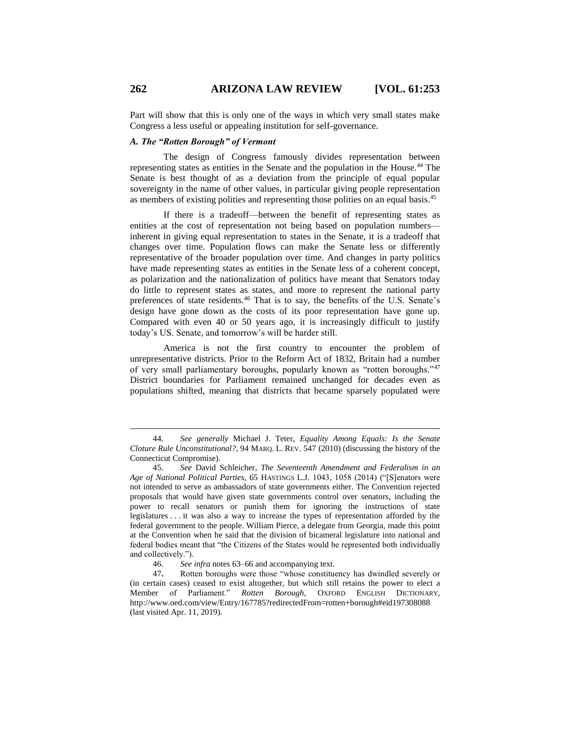Part will show that this is only one of the ways in which very small states make Congress a less useful or appealing institution for self-governance.

#### *A. The "Rotten Borough" of Vermont*

The design of Congress famously divides representation between representing states as entities in the Senate and the population in the House.<sup>44</sup> The Senate is best thought of as a deviation from the principle of equal popular sovereignty in the name of other values, in particular giving people representation as members of existing polities and representing those polities on an equal basis.<sup>45</sup>

If there is a tradeoff—between the benefit of representing states as entities at the cost of representation not being based on population numbers inherent in giving equal representation to states in the Senate, it is a tradeoff that changes over time. Population flows can make the Senate less or differently representative of the broader population over time. And changes in party politics have made representing states as entities in the Senate less of a coherent concept, as polarization and the nationalization of politics have meant that Senators today do little to represent states as states, and more to represent the national party preferences of state residents.<sup>46</sup> That is to say, the benefits of the U.S. Senate's design have gone down as the costs of its poor representation have gone up. Compared with even 40 or 50 years ago, it is increasingly difficult to justify today's US. Senate, and tomorrow's will be harder still.

America is not the first country to encounter the problem of unrepresentative districts. Prior to the Reform Act of 1832, Britain had a number of very small parliamentary boroughs, popularly known as "rotten boroughs."<sup>47</sup> District boundaries for Parliament remained unchanged for decades even as populations shifted, meaning that districts that became sparsely populated were

<sup>44.</sup> *See generally* Michael J. Teter, *Equality Among Equals: Is the Senate Cloture Rule Unconstitutional?*, 94 MARQ. L. REV. 547 (2010) (discussing the history of the Connecticut Compromise).

<sup>45.</sup> *See* David Schleicher, *The Seventeenth Amendment and Federalism in an Age of National Political Parties*, 65 HASTINGS L.J. 1043, 1058 (2014) ("[S]enators were not intended to serve as ambassadors of state governments either. The Convention rejected proposals that would have given state governments control over senators, including the power to recall senators or punish them for ignoring the instructions of state legislatures . . . it was also a way to increase the types of representation afforded by the federal government to the people. William Pierce, a delegate from Georgia, made this point at the Convention when he said that the division of bicameral legislature into national and federal bodies meant that "the Citizens of the States would be represented both individually and collectively.").

<sup>46.</sup> *See infra* notes 63–66 and accompanying text.

<sup>47</sup>**.** Rotten boroughs were those "whose constituency has dwindled severely or (in certain cases) ceased to exist altogether, but which still retains the power to elect a Member of Parliament." *Rotten Borough*, OXFORD ENGLISH DICTIONARY, http://www.oed.com/view/Entry/167785?redirectedFrom=rotten+borough#eid197308088 (last visited Apr. 11, 2019).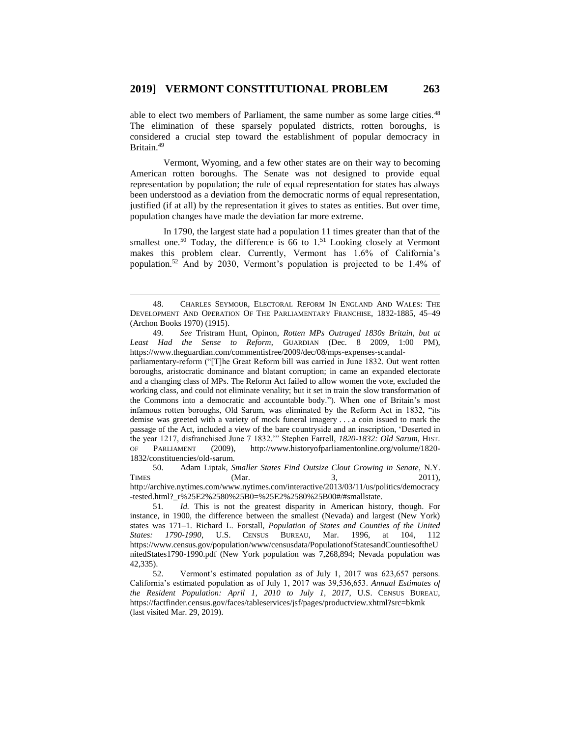able to elect two members of Parliament, the same number as some large cities.<sup>48</sup> The elimination of these sparsely populated districts, rotten boroughs, is considered a crucial step toward the establishment of popular democracy in Britain.<sup>49</sup>

Vermont, Wyoming, and a few other states are on their way to becoming American rotten boroughs. The Senate was not designed to provide equal representation by population; the rule of equal representation for states has always been understood as a deviation from the democratic norms of equal representation, justified (if at all) by the representation it gives to states as entities. But over time, population changes have made the deviation far more extreme.

In 1790, the largest state had a population 11 times greater than that of the smallest one.<sup>50</sup> Today, the difference is  $66$  to  $1<sup>51</sup>$  Looking closely at Vermont makes this problem clear. Currently, Vermont has 1.6% of California's population.<sup>52</sup> And by 2030, Vermont's population is projected to be 1.4% of

 $\overline{a}$ 

parliamentary-reform ("[T]he Great Reform bill was carried in June 1832. Out went rotten boroughs, aristocratic dominance and blatant corruption; in came an expanded electorate and a changing class of MPs. The Reform Act failed to allow women the vote, excluded the working class, and could not eliminate venality; but it set in train the slow transformation of the Commons into a democratic and accountable body."). When one of Britain's most infamous rotten boroughs, Old Sarum, was eliminated by the Reform Act in 1832, "its demise was greeted with a variety of mock funeral imagery . . . a coin issued to mark the passage of the Act, included a view of the bare countryside and an inscription, 'Deserted in the year 1217, disfranchised June 7 1832.'" Stephen Farrell, *1820-1832: Old Sarum*, HIST. OF PARLIAMENT (2009), http://www.historyofparliamentonline.org/volume/1820- 1832/constituencies/old-sarum.

50. Adam Liptak, *Smaller States Find Outsize Clout Growing in Senate*, N.Y. TIMES (Mar. 3, 2011), http://archive.nytimes.com/www.nytimes.com/interactive/2013/03/11/us/politics/democracy -tested.html?\_r%25E2%2580%25B0=%25E2%2580%25B00#/#smallstate.

<sup>48.</sup> CHARLES SEYMOUR, ELECTORAL REFORM IN ENGLAND AND WALES: THE DEVELOPMENT AND OPERATION OF THE PARLIAMENTARY FRANCHISE, 1832-1885, 45–49 (Archon Books 1970) (1915).

<sup>49</sup>*. See* Tristram Hunt, Opinon, *Rotten MPs Outraged 1830s Britain, but at Least Had the Sense to Reform*, GUARDIAN (Dec. 8 2009, 1:00 PM), https://www.theguardian.com/commentisfree/2009/dec/08/mps-expenses-scandal-

<sup>51</sup>*. Id.* This is not the greatest disparity in American history, though. For instance, in 1900, the difference between the smallest (Nevada) and largest (New York) states was 171–1. Richard L. Forstall, *Population of States and Counties of the United States: 1790-1990*, U.S. CENSUS BUREAU, Mar. 1996, at 104, 112 https://www.census.gov/population/www/censusdata/PopulationofStatesandCountiesoftheU nitedStates1790-1990.pdf (New York population was 7,268,894; Nevada population was 42,335).

<sup>52.</sup> Vermont's estimated population as of July 1, 2017 was 623,657 persons. California's estimated population as of July 1, 2017 was 39,536,653. *Annual Estimates of the Resident Population: April 1, 2010 to July 1, 2017*, U.S. CENSUS BUREAU, https://factfinder.census.gov/faces/tableservices/jsf/pages/productview.xhtml?src=bkmk (last visited Mar. 29, 2019).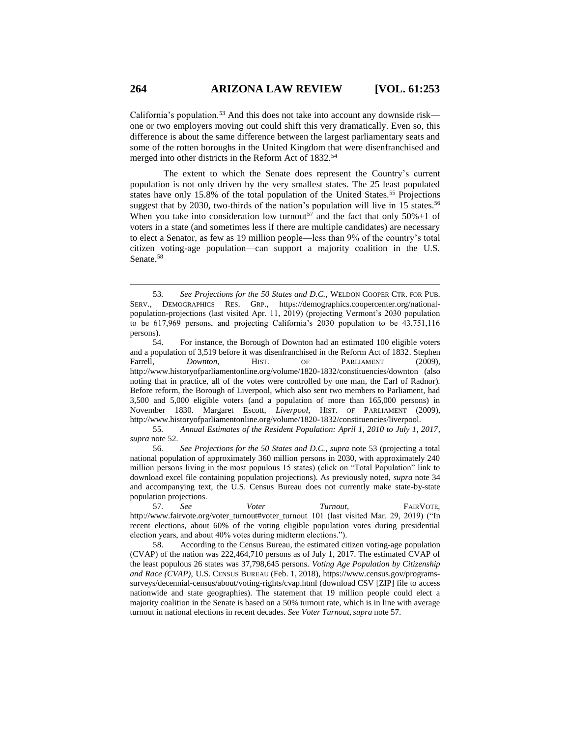California's population.<sup>53</sup> And this does not take into account any downside risk one or two employers moving out could shift this very dramatically. Even so, this difference is about the same difference between the largest parliamentary seats and some of the rotten boroughs in the United Kingdom that were disenfranchised and merged into other districts in the Reform Act of 1832.<sup>54</sup>

The extent to which the Senate does represent the Country's current population is not only driven by the very smallest states. The 25 least populated states have only 15.8% of the total population of the United States. <sup>55</sup> Projections suggest that by 2030, two-thirds of the nation's population will live in 15 states.<sup>56</sup> When you take into consideration low turnout<sup>57</sup> and the fact that only 50%+1 of voters in a state (and sometimes less if there are multiple candidates) are necessary to elect a Senator, as few as 19 million people—less than 9% of the country's total citizen voting-age population—can support a majority coalition in the U.S. Senate.<sup>58</sup>

55*. Annual Estimates of the Resident Population: April 1, 2010 to July 1, 2017*, *supra* note 52.

56*. See Projections for the 50 States and D.C.*, *supra* note 53 (projecting a total national population of approximately 360 million persons in 2030, with approximately 240 million persons living in the most populous 15 states) (click on "Total Population" link to download excel file containing population projections). As previously noted, *supra* note 34 and accompanying text, the U.S. Census Bureau does not currently make state-by-state population projections.

57*. See Voter Turnout*, FAIRVOTE, http://www.fairvote.org/voter\_turnout#voter\_turnout\_101 (last visited Mar. 29, 2019) ("In recent elections, about 60% of the voting eligible population votes during presidential election years, and about 40% votes during midterm elections.").

58. According to the Census Bureau, the estimated citizen voting-age population (CVAP) of the nation was 222,464,710 persons as of July 1, 2017. The estimated CVAP of the least populous 26 states was 37,798,645 persons. *Voting Age Population by Citizenship and Race (CVAP)*, U.S. CENSUS BUREAU (Feb. 1, 2018), https://www.census.gov/programssurveys/decennial-census/about/voting-rights/cvap.html (download CSV [ZIP] file to access nationwide and state geographies). The statement that 19 million people could elect a majority coalition in the Senate is based on a 50% turnout rate, which is in line with average turnout in national elections in recent decades. *See Voter Turnout*,*supra* note 57.

<sup>53</sup>*. See Projections for the 50 States and D.C.*, WELDON COOPER CTR. FOR PUB. SERV., DEMOGRAPHICS RES. GRP., https://demographics.coopercenter.org/nationalpopulation-projections (last visited Apr. 11, 2019) (projecting Vermont's 2030 population to be 617,969 persons, and projecting California's 2030 population to be 43,751,116 persons).

<sup>54.</sup> For instance, the Borough of Downton had an estimated 100 eligible voters and a population of 3,519 before it was disenfranchised in the Reform Act of 1832. Stephen Farrell, *Downton*, HIST. OF PARLIAMENT (2009), http://www.historyofparliamentonline.org/volume/1820-1832/constituencies/downton (also noting that in practice, all of the votes were controlled by one man, the Earl of Radnor). Before reform, the Borough of Liverpool, which also sent two members to Parliament, had 3,500 and 5,000 eligible voters (and a population of more than 165,000 persons) in November 1830. Margaret Escott, *Liverpool*, HIST. OF PARLIAMENT (2009), http://www.historyofparliamentonline.org/volume/1820-1832/constituencies/liverpool.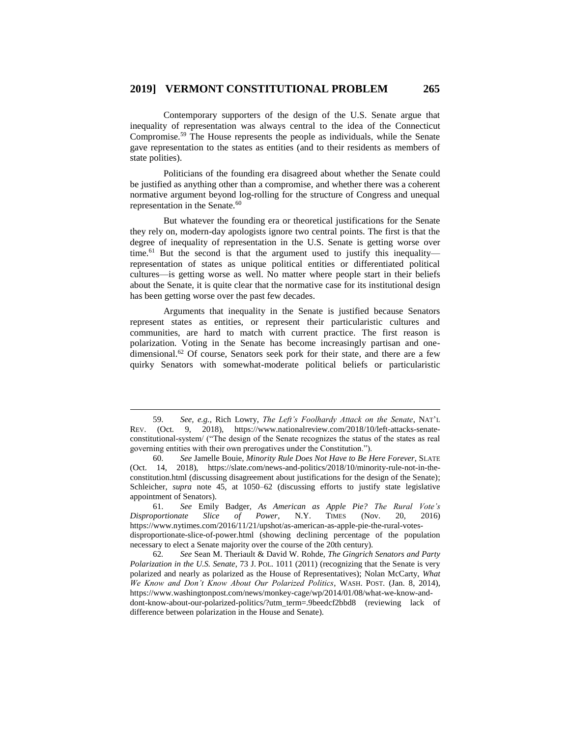Contemporary supporters of the design of the U.S. Senate argue that inequality of representation was always central to the idea of the Connecticut Compromise.<sup>59</sup> The House represents the people as individuals, while the Senate gave representation to the states as entities (and to their residents as members of state polities).

Politicians of the founding era disagreed about whether the Senate could be justified as anything other than a compromise, and whether there was a coherent normative argument beyond log-rolling for the structure of Congress and unequal representation in the Senate.<sup>60</sup>

But whatever the founding era or theoretical justifications for the Senate they rely on, modern-day apologists ignore two central points. The first is that the degree of inequality of representation in the U.S. Senate is getting worse over time.<sup>61</sup> But the second is that the argument used to justify this inequality representation of states as unique political entities or differentiated political cultures—is getting worse as well. No matter where people start in their beliefs about the Senate, it is quite clear that the normative case for its institutional design has been getting worse over the past few decades.

Arguments that inequality in the Senate is justified because Senators represent states as entities, or represent their particularistic cultures and communities, are hard to match with current practice. The first reason is polarization. Voting in the Senate has become increasingly partisan and onedimensional.<sup>62</sup> Of course, Senators seek pork for their state, and there are a few quirky Senators with somewhat-moderate political beliefs or particularistic

<sup>59.</sup> *See, e.g.*, Rich Lowry, *The Left's Foolhardy Attack on the Senate*, NAT'L REV. (Oct. 9, 2018), https://www.nationalreview.com/2018/10/left-attacks-senateconstitutional-system/ ("The design of the Senate recognizes the status of the states as real governing entities with their own prerogatives under the Constitution.").

<sup>60.</sup> *See* Jamelle Bouie, *Minority Rule Does Not Have to Be Here Forever*, SLATE (Oct. 14, 2018), https://slate.com/news-and-politics/2018/10/minority-rule-not-in-theconstitution.html (discussing disagreement about justifications for the design of the Senate); Schleicher, *supra* note 45, at 1050–62 (discussing efforts to justify state legislative appointment of Senators).

<sup>61.</sup> *See* Emily Badger, *As American as Apple Pie? The Rural Vote's Disproportionate Slice of Power*, N.Y. TIMES (Nov. 20, 2016) https://www.nytimes.com/2016/11/21/upshot/as-american-as-apple-pie-the-rural-votesdisproportionate-slice-of-power.html (showing declining percentage of the population necessary to elect a Senate majority over the course of the 20th century).<br>62. See Sean M. Theriault & David W. Rohde. The Ginerich

<sup>62</sup>*. See* Sean M. Theriault & David W. Rohde, *The Gingrich Senators and Party Polarization in the U.S. Senate*, 73 J. POL. 1011 (2011) (recognizing that the Senate is very polarized and nearly as polarized as the House of Representatives); Nolan McCarty, *What We Know and Don't Know About Our Polarized Politics*, WASH. POST. (Jan. 8, 2014), https://www.washingtonpost.com/news/monkey-cage/wp/2014/01/08/what-we-know-anddont-know-about-our-polarized-politics/?utm\_term=.9beedcf2bbd8 (reviewing lack of difference between polarization in the House and Senate).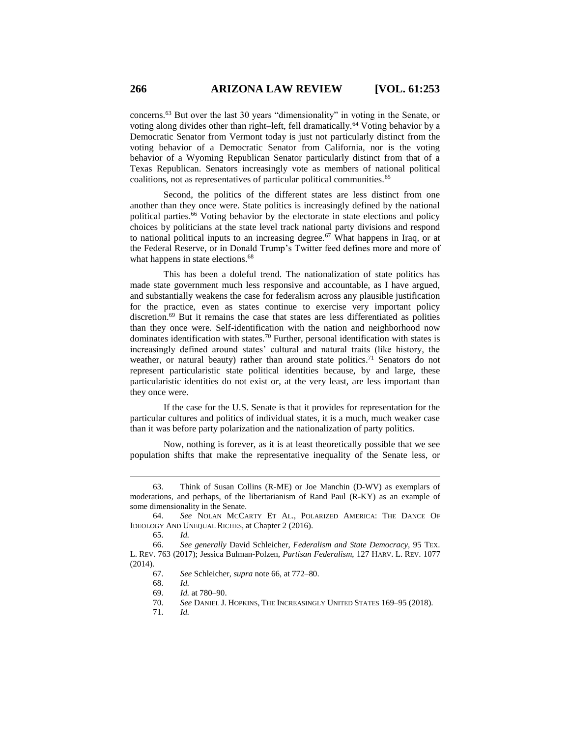concerns.<sup>63</sup> But over the last 30 years "dimensionality" in voting in the Senate, or voting along divides other than right–left, fell dramatically.<sup>64</sup> Voting behavior by a Democratic Senator from Vermont today is just not particularly distinct from the voting behavior of a Democratic Senator from California, nor is the voting behavior of a Wyoming Republican Senator particularly distinct from that of a Texas Republican. Senators increasingly vote as members of national political coalitions, not as representatives of particular political communities.<sup>65</sup>

Second, the politics of the different states are less distinct from one another than they once were. State politics is increasingly defined by the national political parties.<sup>66</sup> Voting behavior by the electorate in state elections and policy choices by politicians at the state level track national party divisions and respond to national political inputs to an increasing degree.<sup>67</sup> What happens in Iraq, or at the Federal Reserve, or in Donald Trump's Twitter feed defines more and more of what happens in state elections.<sup>68</sup>

This has been a doleful trend. The nationalization of state politics has made state government much less responsive and accountable, as I have argued, and substantially weakens the case for federalism across any plausible justification for the practice, even as states continue to exercise very important policy discretion.<sup>69</sup> But it remains the case that states are less differentiated as polities than they once were. Self-identification with the nation and neighborhood now dominates identification with states.<sup>70</sup> Further, personal identification with states is increasingly defined around states' cultural and natural traits (like history, the weather, or natural beauty) rather than around state politics.<sup>71</sup> Senators do not represent particularistic state political identities because, by and large, these particularistic identities do not exist or, at the very least, are less important than they once were.

If the case for the U.S. Senate is that it provides for representation for the particular cultures and politics of individual states, it is a much, much weaker case than it was before party polarization and the nationalization of party politics.

Now, nothing is forever, as it is at least theoretically possible that we see population shifts that make the representative inequality of the Senate less, or

 $\overline{a}$ 

71. *Id.*

<sup>63.</sup> Think of Susan Collins (R-ME) or Joe Manchin (D-WV) as exemplars of moderations, and perhaps, of the libertarianism of Rand Paul (R-KY) as an example of some dimensionality in the Senate.

<sup>64.</sup> *See* NOLAN MCCARTY ET AL., POLARIZED AMERICA: THE DANCE OF IDEOLOGY AND UNEQUAL RICHES, at Chapter 2 (2016).

<sup>65.</sup> *Id.*

<sup>66.</sup> *See generally* David Schleicher, *Federalism and State Democracy,* 95 TEX. L. REV. 763 (2017); Jessica Bulman-Polzen, *Partisan Federalism*, 127 HARV. L. REV. 1077 (2014).

<sup>67.</sup> *See* Schleicher, *supra* note 66, at 772–80.

<sup>68.</sup> *Id.*

<sup>69.</sup> *Id.* at 780–90.

<sup>70.</sup> *See* DANIEL J. HOPKINS, THE INCREASINGLY UNITED STATES 169–95 (2018).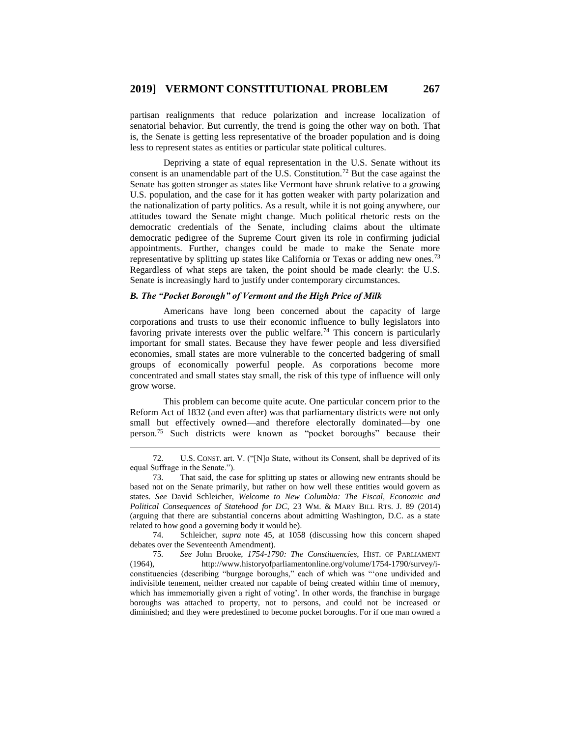partisan realignments that reduce polarization and increase localization of senatorial behavior. But currently, the trend is going the other way on both. That is, the Senate is getting less representative of the broader population and is doing less to represent states as entities or particular state political cultures.

Depriving a state of equal representation in the U.S. Senate without its consent is an unamendable part of the U.S. Constitution.<sup>72</sup> But the case against the Senate has gotten stronger as states like Vermont have shrunk relative to a growing U.S. population, and the case for it has gotten weaker with party polarization and the nationalization of party politics. As a result, while it is not going anywhere, our attitudes toward the Senate might change. Much political rhetoric rests on the democratic credentials of the Senate, including claims about the ultimate democratic pedigree of the Supreme Court given its role in confirming judicial appointments. Further, changes could be made to make the Senate more representative by splitting up states like California or Texas or adding new ones.<sup>73</sup> Regardless of what steps are taken, the point should be made clearly: the U.S. Senate is increasingly hard to justify under contemporary circumstances.

# *B. The "Pocket Borough" of Vermont and the High Price of Milk*

 $\overline{a}$ 

Americans have long been concerned about the capacity of large corporations and trusts to use their economic influence to bully legislators into favoring private interests over the public welfare.<sup>74</sup> This concern is particularly important for small states. Because they have fewer people and less diversified economies, small states are more vulnerable to the concerted badgering of small groups of economically powerful people. As corporations become more concentrated and small states stay small, the risk of this type of influence will only grow worse.

This problem can become quite acute. One particular concern prior to the Reform Act of 1832 (and even after) was that parliamentary districts were not only small but effectively owned—and therefore electorally dominated—by one person.<sup>75</sup> Such districts were known as "pocket boroughs" because their

74. Schleicher, *supra* note 45, at 1058 (discussing how this concern shaped debates over the Seventeenth Amendment).

75*. See* John Brooke, *1754-1790: The Constituencies*, HIST. OF PARLIAMENT (1964), http://www.historyofparliamentonline.org/volume/1754-1790/survey/iconstituencies (describing "burgage boroughs," each of which was "'one undivided and indivisible tenement, neither created nor capable of being created within time of memory, which has immemorially given a right of voting'. In other words, the franchise in burgage boroughs was attached to property, not to persons, and could not be increased or diminished; and they were predestined to become pocket boroughs. For if one man owned a

<sup>72.</sup> U.S. CONST. art. V. ("[N]o State, without its Consent, shall be deprived of its equal Suffrage in the Senate.").

<sup>73.</sup> That said, the case for splitting up states or allowing new entrants should be based not on the Senate primarily, but rather on how well these entities would govern as states. *See* David Schleicher, *Welcome to New Columbia: The Fiscal, Economic and Political Consequences of Statehood for DC*, 23 WM. & MARY BILL RTS. J. 89 (2014) (arguing that there are substantial concerns about admitting Washington, D.C. as a state related to how good a governing body it would be).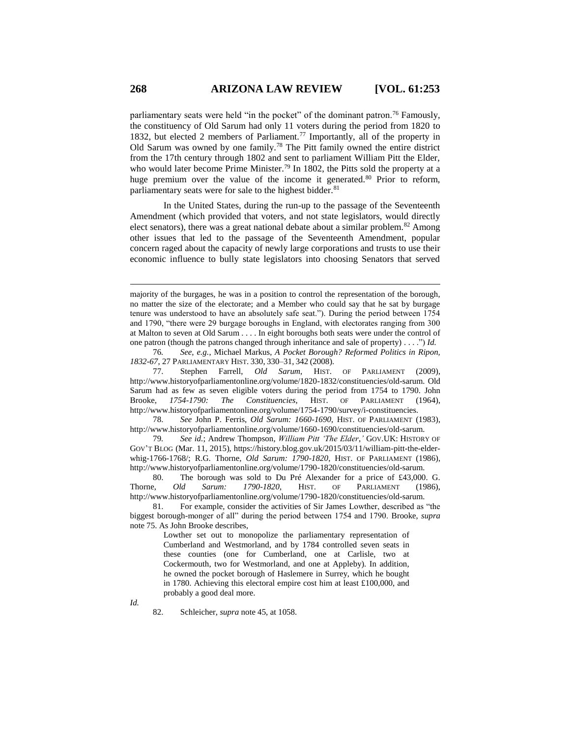parliamentary seats were held "in the pocket" of the dominant patron.<sup>76</sup> Famously, the constituency of Old Sarum had only 11 voters during the period from 1820 to 1832, but elected 2 members of Parliament.<sup>77</sup> Importantly, all of the property in Old Sarum was owned by one family.<sup>78</sup> The Pitt family owned the entire district from the 17th century through 1802 and sent to parliament William Pitt the Elder, who would later become Prime Minister.<sup>79</sup> In 1802, the Pitts sold the property at a huge premium over the value of the income it generated.<sup>80</sup> Prior to reform, parliamentary seats were for sale to the highest bidder.<sup>81</sup>

In the United States, during the run-up to the passage of the Seventeenth Amendment (which provided that voters, and not state legislators, would directly elect senators), there was a great national debate about a similar problem.<sup>82</sup> Among other issues that led to the passage of the Seventeenth Amendment, popular concern raged about the capacity of newly large corporations and trusts to use their economic influence to bully state legislators into choosing Senators that served

78. *See* John P. Ferris, *Old Sarum: 1660-1690*, HIST. OF PARLIAMENT (1983), http://www.historyofparliamentonline.org/volume/1660-1690/constituencies/old-sarum.

79*. See id.*; Andrew Thompson, *William Pitt 'The Elder*,*'* GOV.UK: HISTORY OF GOV'T BLOG (Mar. 11, 2015), https://history.blog.gov.uk/2015/03/11/william-pitt-the-elderwhig-1766-1768/; R.G. Thorne, *Old Sarum: 1790-1820*, HIST. OF PARLIAMENT (1986), http://www.historyofparliamentonline.org/volume/1790-1820/constituencies/old-sarum.

Lowther set out to monopolize the parliamentary representation of Cumberland and Westmorland, and by 1784 controlled seven seats in these counties (one for Cumberland, one at Carlisle, two at Cockermouth, two for Westmorland, and one at Appleby). In addition, he owned the pocket borough of Haslemere in Surrey, which he bought in 1780. Achieving this electoral empire cost him at least £100,000, and probably a good deal more.

*Id.*

82. Schleicher, *supra* note 45, at 1058.

majority of the burgages, he was in a position to control the representation of the borough, no matter the size of the electorate; and a Member who could say that he sat by burgage tenure was understood to have an absolutely safe seat."). During the period between 1754 and 1790, "there were 29 burgage boroughs in England, with electorates ranging from 300 at Malton to seven at Old Sarum . . . . In eight boroughs both seats were under the control of one patron (though the patrons changed through inheritance and sale of property) . . . .") *Id.*

<sup>76</sup>*. See, e.g.*, Michael Markus, *A Pocket Borough? Reformed Politics in Ripon, 1832-67*, 27 PARLIAMENTARY HIST. 330, 330–31, 342 (2008).

<sup>77.</sup> Stephen Farrell, *Old Sarum*, HIST. OF PARLIAMENT (2009), http://www.historyofparliamentonline.org/volume/1820-1832/constituencies/old-sarum. Old Sarum had as few as seven eligible voters during the period from 1754 to 1790. John Brooke, *1754-1790: The Constituencies*, HIST. OF PARLIAMENT (1964), http://www.historyofparliamentonline.org/volume/1754-1790/survey/i-constituencies.

<sup>80.</sup> The borough was sold to Du Pré Alexander for a price of £43,000. G. Thorne, *Old Sarum: 1790-1820*, HIST. OF PARLIAMENT (1986), http://www.historyofparliamentonline.org/volume/1790-1820/constituencies/old-sarum.

<sup>81.</sup> For example, consider the activities of Sir James Lowther, described as "the biggest borough-monger of all" during the period between 1754 and 1790. Brooke, *supra* note 75. As John Brooke describes,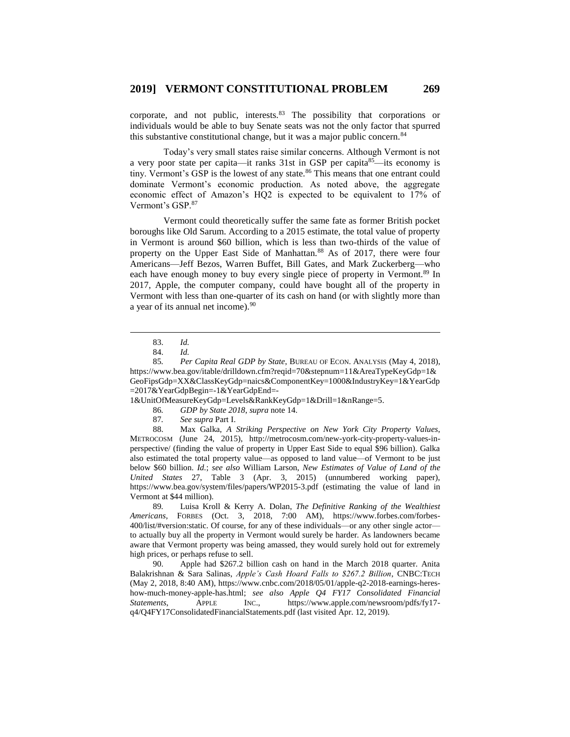corporate, and not public, interests.<sup>83</sup> The possibility that corporations or individuals would be able to buy Senate seats was not the only factor that spurred this substantive constitutional change, but it was a major public concern.<sup>84</sup>

Today's very small states raise similar concerns. Although Vermont is not a very poor state per capita—it ranks 31st in GSP per capita<sup>85</sup>—its economy is tiny. Vermont's GSP is the lowest of any state.<sup>86</sup> This means that one entrant could dominate Vermont's economic production. As noted above, the aggregate economic effect of Amazon's HQ2 is expected to be equivalent to 17% of Vermont's GSP.<sup>87</sup>

Vermont could theoretically suffer the same fate as former British pocket boroughs like Old Sarum. According to a 2015 estimate, the total value of property in Vermont is around \$60 billion, which is less than two-thirds of the value of property on the Upper East Side of Manhattan.<sup>88</sup> As of 2017, there were four Americans—Jeff Bezos, Warren Buffet, Bill Gates, and Mark Zuckerberg—who each have enough money to buy every single piece of property in Vermont.<sup>89</sup> In 2017, Apple, the computer company, could have bought all of the property in Vermont with less than one-quarter of its cash on hand (or with slightly more than a year of its annual net income).<sup>90</sup>

 $\overline{a}$ 

1&UnitOfMeasureKeyGdp=Levels&RankKeyGdp=1&Drill=1&nRange=5.

89*.* Luisa Kroll & Kerry A. Dolan, *The Definitive Ranking of the Wealthiest Americans*, FORBES (Oct. 3, 2018, 7:00 AM), https://www.forbes.com/forbes-400/list/#version:static. Of course, for any of these individuals—or any other single actor to actually buy all the property in Vermont would surely be harder. As landowners became aware that Vermont property was being amassed, they would surely hold out for extremely high prices, or perhaps refuse to sell.

90. Apple had \$267.2 billion cash on hand in the March 2018 quarter. Anita Balakrishnan & Sara Salinas, *Apple's Cash Hoard Falls to \$267.2 Billion*, CNBC:TECH (May 2, 2018, 8:40 AM), https://www.cnbc.com/2018/05/01/apple-q2-2018-earnings-hereshow-much-money-apple-has.html; *see also Apple Q4 FY17 Consolidated Financial Statements*, APPLE INC., https://www.apple.com/newsroom/pdfs/fy17 q4/Q4FY17ConsolidatedFinancialStatements.pdf (last visited Apr. 12, 2019).

<sup>83.</sup> *Id.*

<sup>84.</sup> *Id.*

<sup>85</sup>*. Per Capita Real GDP by State*, BUREAU OF ECON. ANALYSIS (May 4, 2018), https://www.bea.gov/itable/drilldown.cfm?reqid=70&stepnum=11&AreaTypeKeyGdp=1& GeoFipsGdp=XX&ClassKeyGdp=naics&ComponentKey=1000&IndustryKey=1&YearGdp =2017&YearGdpBegin=-1&YearGdpEnd=-

<sup>86</sup>*. GDP by State 2018*, *supra* note 14.

<sup>87</sup>*. See supra* Part I.

<sup>88.</sup> Max Galka, *A Striking Perspective on New York City Property Values*, METROCOSM (June 24, 2015), http://metrocosm.com/new-york-city-property-values-inperspective/ (finding the value of property in Upper East Side to equal \$96 billion). Galka also estimated the total property value—as opposed to land value—of Vermont to be just below \$60 billion. *Id.*; *see also* William Larson, *New Estimates of Value of Land of the United States* 27, Table 3 (Apr. 3, 2015) (unnumbered working paper), https://www.bea.gov/system/files/papers/WP2015-3.pdf (estimating the value of land in Vermont at \$44 million).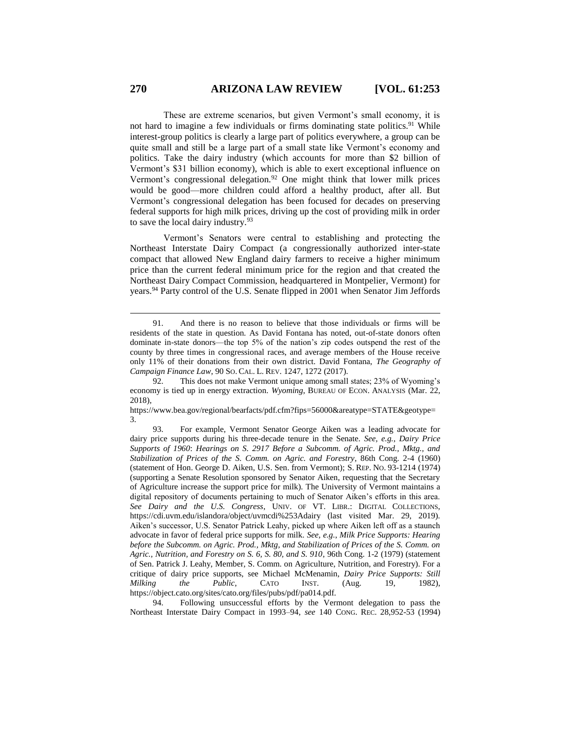These are extreme scenarios, but given Vermont's small economy, it is not hard to imagine a few individuals or firms dominating state politics.<sup>91</sup> While interest-group politics is clearly a large part of politics everywhere, a group can be quite small and still be a large part of a small state like Vermont's economy and politics. Take the dairy industry (which accounts for more than \$2 billion of Vermont's \$31 billion economy), which is able to exert exceptional influence on Vermont's congressional delegation.<sup>92</sup> One might think that lower milk prices would be good—more children could afford a healthy product, after all. But Vermont's congressional delegation has been focused for decades on preserving federal supports for high milk prices, driving up the cost of providing milk in order to save the local dairy industry.<sup>93</sup>

Vermont's Senators were central to establishing and protecting the Northeast Interstate Dairy Compact (a congressionally authorized inter-state compact that allowed New England dairy farmers to receive a higher minimum price than the current federal minimum price for the region and that created the Northeast Dairy Compact Commission, headquartered in Montpelier, Vermont) for years.<sup>94</sup> Party control of the U.S. Senate flipped in 2001 when Senator Jim Jeffords

<sup>91.</sup> And there is no reason to believe that those individuals or firms will be residents of the state in question. As David Fontana has noted, out-of-state donors often dominate in-state donors—the top 5% of the nation's zip codes outspend the rest of the county by three times in congressional races, and average members of the House receive only 11% of their donations from their own district. David Fontana, *The Geography of Campaign Finance Law*, 90 SO. CAL. L. REV. 1247, 1272 (2017).

<sup>92.</sup> This does not make Vermont unique among small states; 23% of Wyoming's economy is tied up in energy extraction. *Wyoming*, BUREAU OF ECON. ANALYSIS (Mar. 22, 2018),

https://www.bea.gov/regional/bearfacts/pdf.cfm?fips=56000&areatype=STATE&geotype= 3.

<sup>93.</sup> For example, Vermont Senator George Aiken was a leading advocate for dairy price supports during his three-decade tenure in the Senate. *See, e.g.*, *Dairy Price Supports of 1960*: *Hearings on S. 2917 Before a Subcomm. of Agric. Prod., Mktg., and Stabilization of Prices of the S. Comm. on Agric. and Forestry*, 86th Cong. 2-4 (1960) (statement of Hon. George D. Aiken, U.S. Sen. from Vermont); S. REP. NO. 93-1214 (1974) (supporting a Senate Resolution sponsored by Senator Aiken, requesting that the Secretary of Agriculture increase the support price for milk). The University of Vermont maintains a digital repository of documents pertaining to much of Senator Aiken's efforts in this area. *See Dairy and the U.S. Congress*, UNIV. OF VT. LIBR.: DIGITAL COLLECTIONS, https://cdi.uvm.edu/islandora/object/uvmcdi%253Adairy (last visited Mar. 29, 2019). Aiken's successor, U.S. Senator Patrick Leahy, picked up where Aiken left off as a staunch advocate in favor of federal price supports for milk. *See, e.g.*, *Milk Price Supports: Hearing before the Subcomm. on Agric. Prod., Mktg, and Stabilization of Prices of the S. Comm. on Agric., Nutrition, and Forestry on S. 6, S. 80, and S. 910*, 96th Cong. 1-2 (1979) (statement of Sen. Patrick J. Leahy, Member, S. Comm. on Agriculture, Nutrition, and Forestry). For a critique of dairy price supports, see Michael McMenamin, *Dairy Price Supports: Still Milking the Public*, CATO INST. (Aug. 19, 1982), https://object.cato.org/sites/cato.org/files/pubs/pdf/pa014.pdf.

<sup>94.</sup> Following unsuccessful efforts by the Vermont delegation to pass the Northeast Interstate Dairy Compact in 1993–94, *see* 140 CONG. REC. 28,952-53 (1994)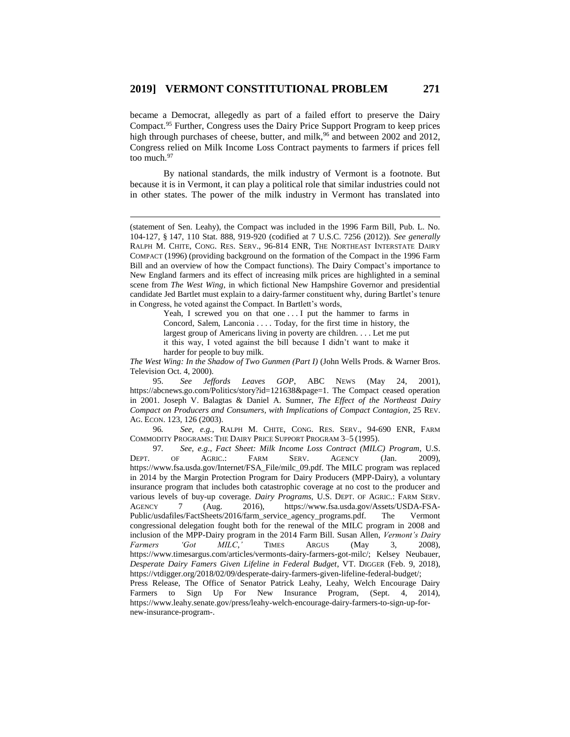$\overline{a}$ 

became a Democrat, allegedly as part of a failed effort to preserve the Dairy Compact.<sup>95</sup> Further, Congress uses the Dairy Price Support Program to keep prices high through purchases of cheese, butter, and milk,  $96$  and between 2002 and 2012, Congress relied on Milk Income Loss Contract payments to farmers if prices fell too much.<sup>97</sup>

By national standards, the milk industry of Vermont is a footnote. But because it is in Vermont, it can play a political role that similar industries could not in other states. The power of the milk industry in Vermont has translated into

Yeah, I screwed you on that one . . . I put the hammer to farms in Concord, Salem, Lanconia . . . . Today, for the first time in history, the largest group of Americans living in poverty are children. . . . Let me put it this way, I voted against the bill because I didn't want to make it harder for people to buy milk.

*The West Wing: In the Shadow of Two Gunmen (Part I)* (John Wells Prods. & Warner Bros. Television Oct. 4, 2000).

95. *See Jeffords Leaves GOP*, ABC NEWS (May 24, 2001), https://abcnews.go.com/Politics/story?id=121638&page=1. The Compact ceased operation in 2001. Joseph V. Balagtas & Daniel A. Sumner, *The Effect of the Northeast Dairy Compact on Producers and Consumers, with Implications of Compact Contagion*, 25 REV. AG. ECON. 123, 126 (2003).

96*. See, e.g.*, RALPH M. CHITE, CONG. RES. SERV., 94-690 ENR, FARM COMMODITY PROGRAMS: THE DAIRY PRICE SUPPORT PROGRAM 3–5 (1995).

97*. See, e.g.*, *Fact Sheet: Milk Income Loss Contract (MILC) Program*, U.S. DEPT. OF AGRIC.: FARM SERV. AGENCY (Jan. 2009), https://www.fsa.usda.gov/Internet/FSA\_File/milc\_09.pdf. The MILC program was replaced in 2014 by the Margin Protection Program for Dairy Producers (MPP-Dairy), a voluntary insurance program that includes both catastrophic coverage at no cost to the producer and various levels of buy-up coverage. *Dairy Programs*, U.S. DEPT. OF AGRIC.: FARM SERV. AGENCY 7 (Aug. 2016), https://www.fsa.usda.gov/Assets/USDA-FSA-Public/usdafiles/FactSheets/2016/farm\_service\_agency\_programs.pdf. The Vermont congressional delegation fought both for the renewal of the MILC program in 2008 and inclusion of the MPP-Dairy program in the 2014 Farm Bill. Susan Allen, *Vermont's Dairy Farmers 'Got MILC*,*'* TIMES ARGUS (May 3, 2008), https://www.timesargus.com/articles/vermonts-dairy-farmers-got-milc/; Kelsey Neubauer, *Desperate Dairy Famers Given Lifeline in Federal Budget*, VT. DIGGER (Feb. 9, 2018), https://vtdigger.org/2018/02/09/desperate-dairy-farmers-given-lifeline-federal-budget/; Press Release, The Office of Senator Patrick Leahy, Leahy, Welch Encourage Dairy Farmers to Sign Up For New Insurance Program, (Sept. 4, 2014), https://www.leahy.senate.gov/press/leahy-welch-encourage-dairy-farmers-to-sign-up-fornew-insurance-program-.

<sup>(</sup>statement of Sen. Leahy), the Compact was included in the 1996 Farm Bill, Pub. L. No. 104-127, § 147, 110 Stat. 888, 919-920 (codified at 7 U.S.C. 7256 (2012)). *See generally*  RALPH M. CHITE, CONG. RES. SERV., 96-814 ENR, THE NORTHEAST INTERSTATE DAIRY COMPACT (1996) (providing background on the formation of the Compact in the 1996 Farm Bill and an overview of how the Compact functions). The Dairy Compact's importance to New England farmers and its effect of increasing milk prices are highlighted in a seminal scene from *The West Wing*, in which fictional New Hampshire Governor and presidential candidate Jed Bartlet must explain to a dairy-farmer constituent why, during Bartlet's tenure in Congress, he voted against the Compact. In Bartlett's words,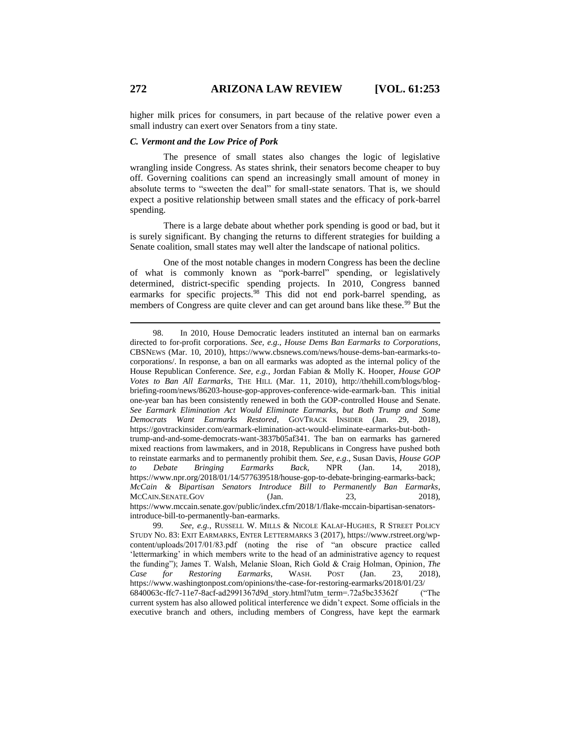higher milk prices for consumers, in part because of the relative power even a small industry can exert over Senators from a tiny state.

#### *C. Vermont and the Low Price of Pork*

The presence of small states also changes the logic of legislative wrangling inside Congress. As states shrink, their senators become cheaper to buy off. Governing coalitions can spend an increasingly small amount of money in absolute terms to "sweeten the deal" for small-state senators. That is, we should expect a positive relationship between small states and the efficacy of pork-barrel spending.

There is a large debate about whether pork spending is good or bad, but it is surely significant. By changing the returns to different strategies for building a Senate coalition, small states may well alter the landscape of national politics.

One of the most notable changes in modern Congress has been the decline of what is commonly known as "pork-barrel" spending, or legislatively determined, district-specific spending projects. In 2010, Congress banned earmarks for specific projects.<sup>98</sup> This did not end pork-barrel spending, as members of Congress are quite clever and can get around bans like these.<sup>99</sup> But the

<sup>98.</sup> In 2010, House Democratic leaders instituted an internal ban on earmarks directed to for-profit corporations. *See, e.g.*, *House Dems Ban Earmarks to Corporations*, CBSNEWS (Mar. 10, 2010), https://www.cbsnews.com/news/house-dems-ban-earmarks-tocorporations/. In response, a ban on all earmarks was adopted as the internal policy of the House Republican Conference. *See, e.g.*, Jordan Fabian & Molly K. Hooper, *House GOP Votes to Ban All Earmarks*, THE HILL (Mar. 11, 2010), http://thehill.com/blogs/blogbriefing-room/news/86203-house-gop-approves-conference-wide-earmark-ban. This initial one-year ban has been consistently renewed in both the GOP-controlled House and Senate. *See Earmark Elimination Act Would Eliminate Earmarks, but Both Trump and Some Democrats Want Earmarks Restored*, GOVTRACK INSIDER (Jan. 29, 2018), https://govtrackinsider.com/earmark-elimination-act-would-eliminate-earmarks-but-bothtrump-and-and-some-democrats-want-3837b05af341. The ban on earmarks has garnered mixed reactions from lawmakers, and in 2018, Republicans in Congress have pushed both to reinstate earmarks and to permanently prohibit them. *See, e.g.*, Susan Davis, *House GOP to Debate Bringing Earmarks Back*, NPR (Jan. 14, 2018), https://www.npr.org/2018/01/14/577639518/house-gop-to-debate-bringing-earmarks-back; *McCain & Bipartisan Senators Introduce Bill to Permanently Ban Earmarks*, MCCAIN.SENATE.GOV (Jan. 23, 2018), https://www.mccain.senate.gov/public/index.cfm/2018/1/flake-mccain-bipartisan-senatorsintroduce-bill-to-permanently-ban-earmarks.

<sup>99</sup>*. See, e.g.*, RUSSELL W. MILLS & NICOLE KALAF-HUGHES, R STREET POLICY STUDY NO. 83: EXIT EARMARKS, ENTER LETTERMARKS 3 (2017), https://www.rstreet.org/wpcontent/uploads/2017/01/83.pdf (noting the rise of "an obscure practice called 'lettermarking' in which members write to the head of an administrative agency to request the funding"); James T. Walsh, Melanie Sloan, Rich Gold & Craig Holman, Opinion*, The Case for Restoring Earmarks*, WASH. POST (Jan. 23, 2018), https://www.washingtonpost.com/opinions/the-case-for-restoring-earmarks/2018/01/23/ 6840063c-ffc7-11e7-8acf-ad2991367d9d\_story.html?utm\_term=.72a5bc35362f ("The current system has also allowed political interference we didn't expect. Some officials in the executive branch and others, including members of Congress, have kept the earmark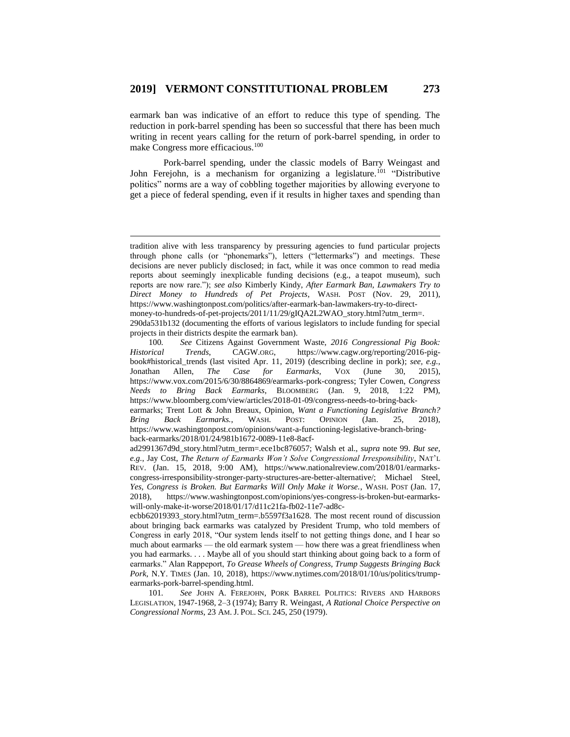earmark ban was indicative of an effort to reduce this type of spending. The reduction in pork-barrel spending has been so successful that there has been much writing in recent years calling for the return of pork-barrel spending, in order to make Congress more efficacious.<sup>100</sup>

Pork-barrel spending, under the classic models of Barry Weingast and John Ferejohn, is a mechanism for organizing a legislature.<sup>101</sup> "Distributive politics" norms are a way of cobbling together majorities by allowing everyone to get a piece of federal spending, even if it results in higher taxes and spending than

money-to-hundreds-of-pet-projects/2011/11/29/gIQA2L2WAO\_story.html?utm\_term=. 290da531b132 (documenting the efforts of various legislators to include funding for special

projects in their districts despite the earmark ban).

tradition alive with less transparency by pressuring agencies to fund particular projects through phone calls (or "phonemarks"), letters ("lettermarks") and meetings. These decisions are never publicly disclosed; in fact, while it was once common to read media reports about seemingly inexplicable funding decisions (e.g., a teapot museum), such reports are now rare."); *see also* Kimberly Kindy, *After Earmark Ban, Lawmakers Try to Direct Money to Hundreds of Pet Projects*, WASH. POST (Nov. 29, 2011), https://www.washingtonpost.com/politics/after-earmark-ban-lawmakers-try-to-direct-

<sup>100</sup>*. See* Citizens Against Government Waste, *2016 Congressional Pig Book: Historical Trends*, CAGW.ORG, https://www.cagw.org/reporting/2016-pigbook#historical\_trends (last visited Apr. 11, 2019) (describing decline in pork); *see, e.g.*, Jonathan Allen, *The Case for Earmarks*, VOX (June 30, 2015), https://www.vox.com/2015/6/30/8864869/earmarks-pork-congress; Tyler Cowen, *Congress Needs to Bring Back Earmarks*, BLOOMBERG (Jan. 9, 2018, 1:22 PM), https://www.bloomberg.com/view/articles/2018-01-09/congress-needs-to-bring-back-

earmarks; Trent Lott & John Breaux, Opinion, *Want a Functioning Legislative Branch? Bring Back Earmarks.*, WASH. POST: OPINION (Jan. 25, 2018), https://www.washingtonpost.com/opinions/want-a-functioning-legislative-branch-bringback-earmarks/2018/01/24/981b1672-0089-11e8-8acf-

ad2991367d9d\_story.html?utm\_term=.ece1bc876057; Walsh et al., *supra* note 99. *But see, e.g.*, Jay Cost, *The Return of Earmarks Won't Solve Congressional Irresponsibility*, NAT'L REV. (Jan. 15, 2018, 9:00 AM), https://www.nationalreview.com/2018/01/earmarkscongress-irresponsibility-stronger-party-structures-are-better-alternative/; Michael Steel, *Yes, Congress is Broken. But Earmarks Will Only Make it Worse.*, WASH. POST (Jan. 17, 2018), https://www.washingtonpost.com/opinions/yes-congress-is-broken-but-earmarkswill-only-make-it-worse/2018/01/17/d11c21fa-fb02-11e7-ad8c-

ecbb62019393\_story.html?utm\_term=.b5597f3a1628. The most recent round of discussion about bringing back earmarks was catalyzed by President Trump, who told members of Congress in early 2018, "Our system lends itself to not getting things done, and I hear so much about earmarks — the old earmark system — how there was a great friendliness when you had earmarks. . . . Maybe all of you should start thinking about going back to a form of earmarks." Alan Rappeport, *To Grease Wheels of Congress, Trump Suggests Bringing Back Pork*, N.Y. TIMES (Jan. 10, 2018), https://www.nytimes.com/2018/01/10/us/politics/trumpearmarks-pork-barrel-spending.html.

<sup>101</sup>*. See* JOHN A. FEREJOHN, PORK BARREL POLITICS: RIVERS AND HARBORS LEGISLATION, 1947-1968, 2–3 (1974); Barry R. Weingast, *A Rational Choice Perspective on Congressional Norms*, 23 AM. J. POL. SCI. 245, 250 (1979).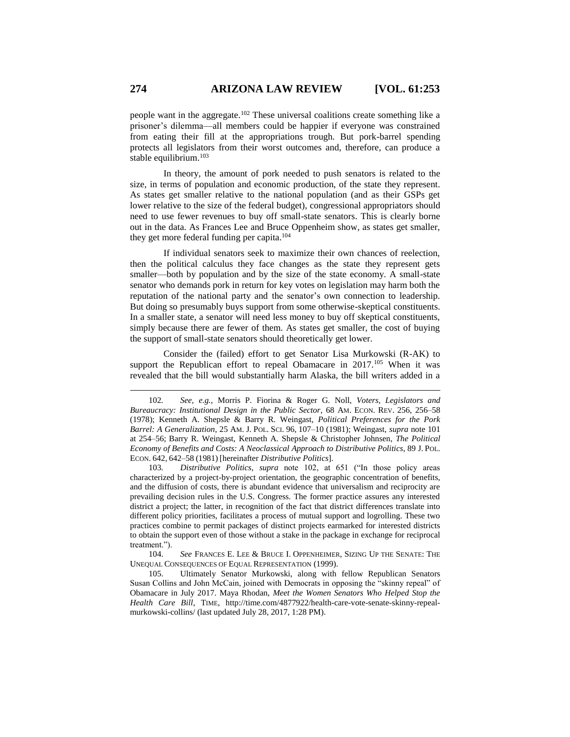people want in the aggregate.<sup>102</sup> These universal coalitions create something like a prisoner's dilemma—all members could be happier if everyone was constrained from eating their fill at the appropriations trough. But pork-barrel spending protects all legislators from their worst outcomes and, therefore, can produce a stable equilibrium.<sup>103</sup>

In theory, the amount of pork needed to push senators is related to the size, in terms of population and economic production, of the state they represent. As states get smaller relative to the national population (and as their GSPs get lower relative to the size of the federal budget), congressional appropriators should need to use fewer revenues to buy off small-state senators. This is clearly borne out in the data. As Frances Lee and Bruce Oppenheim show, as states get smaller, they get more federal funding per capita.<sup>104</sup>

If individual senators seek to maximize their own chances of reelection, then the political calculus they face changes as the state they represent gets smaller—both by population and by the size of the state economy. A small-state senator who demands pork in return for key votes on legislation may harm both the reputation of the national party and the senator's own connection to leadership. But doing so presumably buys support from some otherwise-skeptical constituents. In a smaller state, a senator will need less money to buy off skeptical constituents, simply because there are fewer of them. As states get smaller, the cost of buying the support of small-state senators should theoretically get lower.

Consider the (failed) effort to get Senator Lisa Murkowski (R-AK) to support the Republican effort to repeal Obamacare in 2017.<sup>105</sup> When it was revealed that the bill would substantially harm Alaska, the bill writers added in a

104. *See* FRANCES E. LEE & BRUCE I. OPPENHEIMER, SIZING UP THE SENATE: THE UNEQUAL CONSEQUENCES OF EQUAL REPRESENTATION (1999).

105. Ultimately Senator Murkowski, along with fellow Republican Senators Susan Collins and John McCain, joined with Democrats in opposing the "skinny repeal" of Obamacare in July 2017. Maya Rhodan, *Meet the Women Senators Who Helped Stop the Health Care Bill*, TIME, http://time.com/4877922/health-care-vote-senate-skinny-repealmurkowski-collins/ (last updated July 28, 2017, 1:28 PM).

<sup>102</sup>*. See, e.g.*, Morris P. Fiorina & Roger G. Noll, *Voters, Legislators and Bureaucracy: Institutional Design in the Public Sector*, 68 AM. ECON. REV. 256, 256–58 (1978); Kenneth A. Shepsle & Barry R. Weingast, *Political Preferences for the Pork Barrel: A Generalization*, 25 AM. J. POL. SCI. 96, 107–10 (1981); Weingast, *supra* note 101 at 254–56; Barry R. Weingast, Kenneth A. Shepsle & Christopher Johnsen, *The Political Economy of Benefits and Costs: A Neoclassical Approach to Distributive Politics*, 89 J. POL. ECON. 642, 642–58 (1981) [hereinafter *Distributive Politics*].

<sup>103</sup>*. Distributive Politics*, *supra* note 102, at 651 ("In those policy areas characterized by a project-by-project orientation, the geographic concentration of benefits, and the diffusion of costs, there is abundant evidence that universalism and reciprocity are prevailing decision rules in the U.S. Congress. The former practice assures any interested district a project; the latter, in recognition of the fact that district differences translate into different policy priorities, facilitates a process of mutual support and logrolling. These two practices combine to permit packages of distinct projects earmarked for interested districts to obtain the support even of those without a stake in the package in exchange for reciprocal treatment.").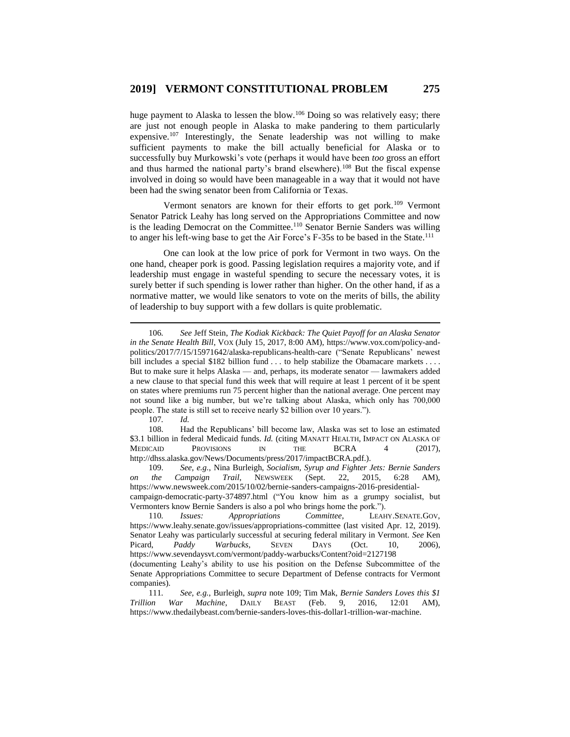huge payment to Alaska to lessen the blow.<sup>106</sup> Doing so was relatively easy; there are just not enough people in Alaska to make pandering to them particularly expensive.<sup>107</sup> Interestingly, the Senate leadership was not willing to make sufficient payments to make the bill actually beneficial for Alaska or to successfully buy Murkowski's vote (perhaps it would have been *too* gross an effort and thus harmed the national party's brand elsewhere).<sup>108</sup> But the fiscal expense involved in doing so would have been manageable in a way that it would not have been had the swing senator been from California or Texas.

Vermont senators are known for their efforts to get pork.<sup>109</sup> Vermont Senator Patrick Leahy has long served on the Appropriations Committee and now is the leading Democrat on the Committee.<sup>110</sup> Senator Bernie Sanders was willing to anger his left-wing base to get the Air Force's F-35s to be based in the State.<sup>111</sup>

One can look at the low price of pork for Vermont in two ways. On the one hand, cheaper pork is good. Passing legislation requires a majority vote, and if leadership must engage in wasteful spending to secure the necessary votes, it is surely better if such spending is lower rather than higher. On the other hand, if as a normative matter, we would like senators to vote on the merits of bills, the ability of leadership to buy support with a few dollars is quite problematic.

107*. Id.*

 $\overline{a}$ 

108. Had the Republicans' bill become law, Alaska was set to lose an estimated \$3.1 billion in federal Medicaid funds. *Id.* (citing MANATT HEALTH, IMPACT ON ALASKA OF MEDICAID PROVISIONS IN THE BCRA 4 (2017), http://dhss.alaska.gov/News/Documents/press/2017/impactBCRA.pdf.).

109. *See, e.g.*, Nina Burleigh, *Socialism, Syrup and Fighter Jets: Bernie Sanders on the Campaign Trail*, NEWSWEEK (Sept. 22, 2015, 6:28 AM), https://www.newsweek.com/2015/10/02/bernie-sanders-campaigns-2016-presidentialcampaign-democratic-party-374897.html ("You know him as a grumpy socialist, but Vermonters know Bernie Sanders is also a pol who brings home the pork.").

110*. Issues: Appropriations Committee*, LEAHY.SENATE.GOV, https://www.leahy.senate.gov/issues/appropriations-committee (last visited Apr. 12, 2019). Senator Leahy was particularly successful at securing federal military in Vermont. *See* Ken Picard, *Paddy Warbucks*, SEVEN DAYS (Oct. 10, 2006), https://www.sevendaysvt.com/vermont/paddy-warbucks/Content?oid=2127198 (documenting Leahy's ability to use his position on the Defense Subcommittee of the Senate Appropriations Committee to secure Department of Defense contracts for Vermont

111*. See, e.g.*, Burleigh, *supra* note 109; Tim Mak, *Bernie Sanders Loves this \$1 Trillion War Machine*, DAILY BEAST (Feb. 9, 2016, 12:01 AM), https://www.thedailybeast.com/bernie-sanders-loves-this-dollar1-trillion-war-machine.

<sup>106</sup>*. See* Jeff Stein, *The Kodiak Kickback: The Quiet Payoff for an Alaska Senator in the Senate Health Bill*, VOX (July 15, 2017, 8:00 AM), https://www.vox.com/policy-andpolitics/2017/7/15/15971642/alaska-republicans-health-care ("Senate Republicans' newest bill includes a special \$182 billion fund . . . to help stabilize the Obamacare markets . . . . But to make sure it helps Alaska — and, perhaps, its moderate senator — lawmakers added a new clause to that special fund this week that will require at least 1 percent of it be spent on states where premiums run 75 percent higher than the national average. One percent may not sound like a big number, but we're talking about Alaska, which only has 700,000 people. The state is still set to receive nearly \$2 billion over 10 years.").

companies).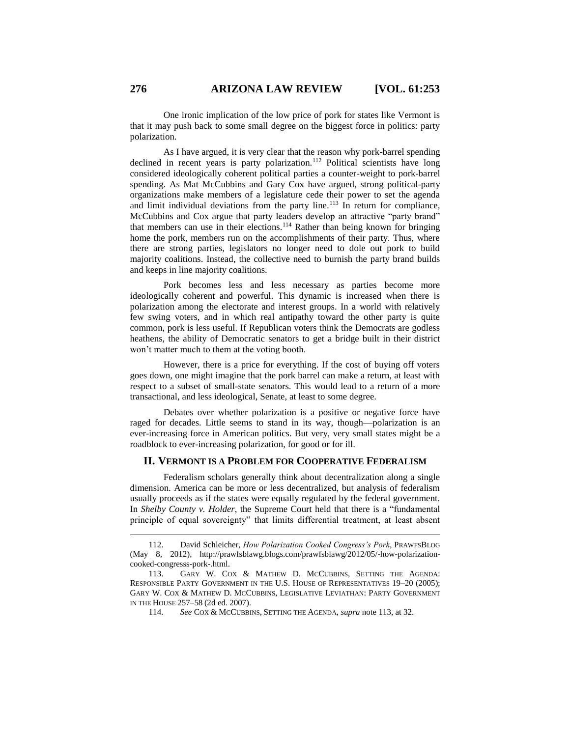One ironic implication of the low price of pork for states like Vermont is that it may push back to some small degree on the biggest force in politics: party polarization.

As I have argued, it is very clear that the reason why pork-barrel spending declined in recent years is party polarization.<sup>112</sup> Political scientists have long considered ideologically coherent political parties a counter-weight to pork-barrel spending. As Mat McCubbins and Gary Cox have argued, strong political-party organizations make members of a legislature cede their power to set the agenda and limit individual deviations from the party line.<sup>113</sup> In return for compliance, McCubbins and Cox argue that party leaders develop an attractive "party brand" that members can use in their elections.<sup>114</sup> Rather than being known for bringing home the pork, members run on the accomplishments of their party. Thus, where there are strong parties, legislators no longer need to dole out pork to build majority coalitions. Instead, the collective need to burnish the party brand builds and keeps in line majority coalitions.

Pork becomes less and less necessary as parties become more ideologically coherent and powerful. This dynamic is increased when there is polarization among the electorate and interest groups. In a world with relatively few swing voters, and in which real antipathy toward the other party is quite common, pork is less useful. If Republican voters think the Democrats are godless heathens, the ability of Democratic senators to get a bridge built in their district won't matter much to them at the voting booth.

However, there is a price for everything. If the cost of buying off voters goes down, one might imagine that the pork barrel can make a return, at least with respect to a subset of small-state senators. This would lead to a return of a more transactional, and less ideological, Senate, at least to some degree.

Debates over whether polarization is a positive or negative force have raged for decades. Little seems to stand in its way, though—polarization is an ever-increasing force in American politics. But very, very small states might be a roadblock to ever-increasing polarization, for good or for ill.

# **II. VERMONT IS A PROBLEM FOR COOPERATIVE FEDERALISM**

Federalism scholars generally think about decentralization along a single dimension. America can be more or less decentralized, but analysis of federalism usually proceeds as if the states were equally regulated by the federal government. In *Shelby County v. Holder*, the Supreme Court held that there is a "fundamental principle of equal sovereignty" that limits differential treatment, at least absent

<sup>112.</sup> David Schleicher, *How Polarization Cooked Congress's Pork*, PRAWFSBLOG (May 8, 2012), http://prawfsblawg.blogs.com/prawfsblawg/2012/05/-how-polarizationcooked-congresss-pork-.html.

<sup>113.</sup> GARY W. COX & MATHEW D. MCCUBBINS, SETTING THE AGENDA: RESPONSIBLE PARTY GOVERNMENT IN THE U.S. HOUSE OF REPRESENTATIVES 19–20 (2005); GARY W. COX & MATHEW D. MCCUBBINS, LEGISLATIVE LEVIATHAN: PARTY GOVERNMENT IN THE HOUSE 257–58 (2d ed. 2007).

<sup>114.</sup> *See* COX & MCCUBBINS, SETTING THE AGENDA, *supra* note 113, at 32.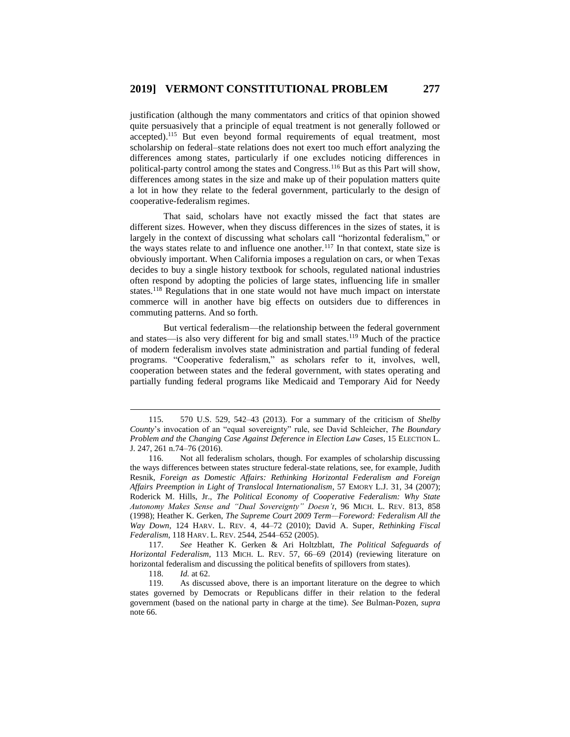justification (although the many commentators and critics of that opinion showed quite persuasively that a principle of equal treatment is not generally followed or accepted).<sup>115</sup> But even beyond formal requirements of equal treatment, most scholarship on federal–state relations does not exert too much effort analyzing the differences among states, particularly if one excludes noticing differences in political-party control among the states and Congress.<sup>116</sup> But as this Part will show, differences among states in the size and make up of their population matters quite a lot in how they relate to the federal government, particularly to the design of cooperative-federalism regimes.

That said, scholars have not exactly missed the fact that states are different sizes. However, when they discuss differences in the sizes of states, it is largely in the context of discussing what scholars call "horizontal federalism," or the ways states relate to and influence one another.<sup>117</sup> In that context, state size is obviously important. When California imposes a regulation on cars, or when Texas decides to buy a single history textbook for schools, regulated national industries often respond by adopting the policies of large states, influencing life in smaller states.<sup>118</sup> Regulations that in one state would not have much impact on interstate commerce will in another have big effects on outsiders due to differences in commuting patterns. And so forth.

But vertical federalism—the relationship between the federal government and states—is also very different for big and small states.<sup>119</sup> Much of the practice of modern federalism involves state administration and partial funding of federal programs. "Cooperative federalism," as scholars refer to it, involves, well, cooperation between states and the federal government, with states operating and partially funding federal programs like Medicaid and Temporary Aid for Needy

117. *See* Heather K. Gerken & Ari Holtzblatt, *The Political Safeguards of Horizontal Federalism*, 113 MICH. L. REV. 57, 66–69 (2014) (reviewing literature on horizontal federalism and discussing the political benefits of spillovers from states).

118. *Id.* at 62.

<sup>115.</sup> 570 U.S. 529, 542–43 (2013). For a summary of the criticism of *Shelby County*'s invocation of an "equal sovereignty" rule, see David Schleicher, *The Boundary Problem and the Changing Case Against Deference in Election Law Cases*, 15 ELECTION L. J. 247, 261 n.74–76 (2016).

<sup>116.</sup> Not all federalism scholars, though. For examples of scholarship discussing the ways differences between states structure federal-state relations, see, for example, Judith Resnik, *Foreign as Domestic Affairs: Rethinking Horizontal Federalism and Foreign Affairs Preemption in Light of Translocal Internationalism*, 57 EMORY L.J. 31, 34 (2007); Roderick M. Hills, Jr., *The Political Economy of Cooperative Federalism: Why State Autonomy Makes Sense and "Dual Sovereignty" Doesn't*, 96 MICH. L. REV. 813, 858 (1998); Heather K. Gerken, *The Supreme Court 2009 Term—Foreword: Federalism All the Way Down,* 124 HARV. L. REV. 4, 44–72 (2010); David A. Super, *Rethinking Fiscal Federalism*, 118 HARV. L. REV. 2544, 2544–652 (2005).

<sup>119.</sup> As discussed above, there is an important literature on the degree to which states governed by Democrats or Republicans differ in their relation to the federal government (based on the national party in charge at the time). *See* Bulman-Pozen, *supra* note 66.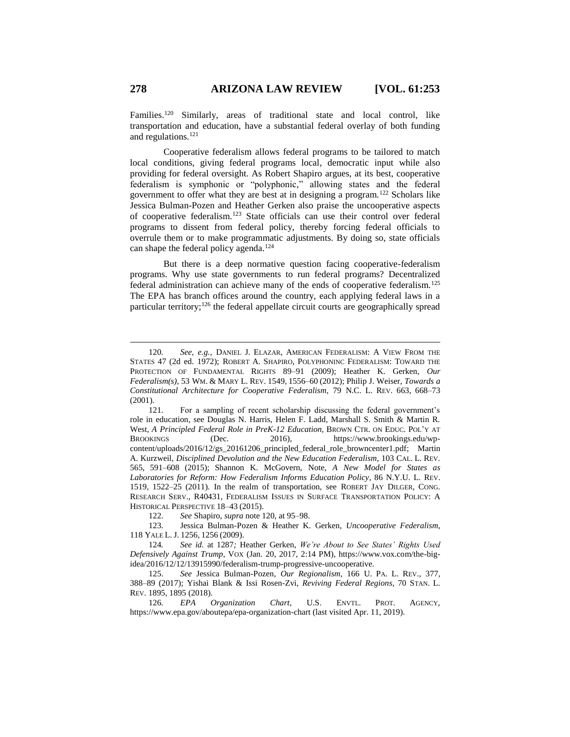Families.<sup>120</sup> Similarly, areas of traditional state and local control, like transportation and education, have a substantial federal overlay of both funding and regulations.<sup>121</sup>

Cooperative federalism allows federal programs to be tailored to match local conditions, giving federal programs local, democratic input while also providing for federal oversight. As Robert Shapiro argues, at its best, cooperative federalism is symphonic or "polyphonic," allowing states and the federal government to offer what they are best at in designing a program.<sup>122</sup> Scholars like Jessica Bulman-Pozen and Heather Gerken also praise the uncooperative aspects of cooperative federalism.<sup>123</sup> State officials can use their control over federal programs to dissent from federal policy, thereby forcing federal officials to overrule them or to make programmatic adjustments. By doing so, state officials can shape the federal policy agenda.<sup>124</sup>

But there is a deep normative question facing cooperative-federalism programs. Why use state governments to run federal programs? Decentralized federal administration can achieve many of the ends of cooperative federalism.<sup>125</sup> The EPA has branch offices around the country, each applying federal laws in a particular territory;<sup>126</sup> the federal appellate circuit courts are geographically spread

122. *See* Shapiro, *supra* note 120, at 95–98.

123. Jessica Bulman-Pozen & Heather K. Gerken, *Uncooperative Federalism*, 118 YALE L. J. 1256, 1256 (2009).

<sup>120</sup>*. See, e.g.*, DANIEL J. ELAZAR, AMERICAN FEDERALISM: A VIEW FROM THE STATES 47 (2d ed. 1972); ROBERT A. SHAPIRO, POLYPHONINC FEDERALISM: TOWARD THE PROTECTION OF FUNDAMENTAL RIGHTS 89–91 (2009); Heather K. Gerken, *Our Federalism(s)*, 53 WM. & MARY L. REV. 1549, 1556–60 (2012); Philip J. Weiser, *Towards a Constitutional Architecture for Cooperative Federalism*, 79 N.C. L. REV. 663, 668–73 (2001).

<sup>121.</sup> For a sampling of recent scholarship discussing the federal government's role in education, see Douglas N. Harris, Helen F. Ladd, Marshall S. Smith & Martin R. West, *A Principled Federal Role in PreK-12 Education*, BROWN CTR. ON EDUC. POL'Y AT BROOKINGS (Dec. 2016), https://www.brookings.edu/wpcontent/uploads/2016/12/gs\_20161206\_principled\_federal\_role\_browncenter1.pdf; Martin A. Kurzweil, *Disciplined Devolution and the New Education Federalism*, 103 CAL. L. REV. 565, 591–608 (2015); Shannon K. McGovern, Note, *A New Model for States as Laboratories for Reform: How Federalism Informs Education Policy*, 86 N.Y.U. L. REV. 1519, 1522–25 (2011). In the realm of transportation, see ROBERT JAY DILGER, CONG. RESEARCH SERV., R40431, FEDERALISM ISSUES IN SURFACE TRANSPORTATION POLICY: A HISTORICAL PERSPECTIVE 18–43 (2015).

<sup>124</sup>*. See id.* at 1287*;* Heather Gerken, *We're About to See States' Rights Used Defensively Against Trump*, VOX (Jan. 20, 2017, 2:14 PM), https://www.vox.com/the-bigidea/2016/12/12/13915990/federalism-trump-progressive-uncooperative.

<sup>125.</sup> *See* Jessica Bulman-Pozen, *Our Regionalism*, 166 U. PA. L. REV., 377, 388–89 (2017); Yishai Blank & Issi Rosen-Zvi, *Reviving Federal Regions*, 70 STAN. L. REV. 1895, 1895 (2018).

<sup>126</sup>*. EPA Organization Chart*, U.S. ENVTL. PROT. AGENCY, https://www.epa.gov/aboutepa/epa-organization-chart (last visited Apr. 11, 2019).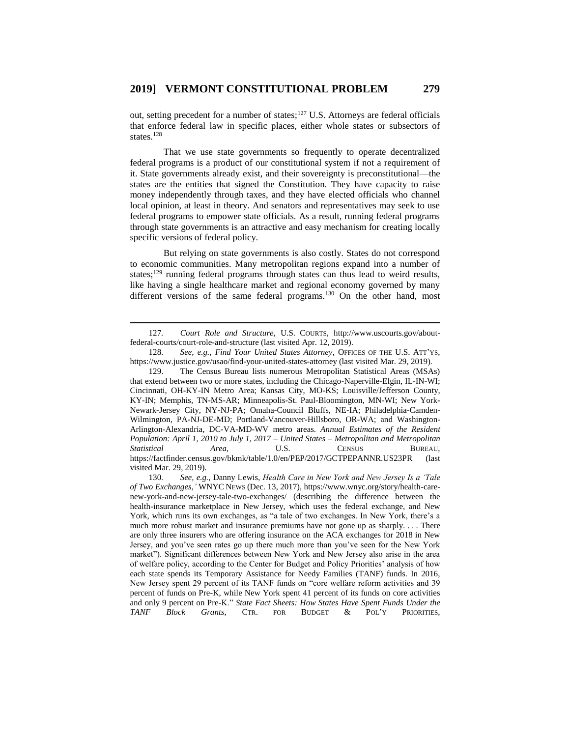out, setting precedent for a number of states;<sup>127</sup> U.S. Attorneys are federal officials that enforce federal law in specific places, either whole states or subsectors of states.<sup>128</sup>

That we use state governments so frequently to operate decentralized federal programs is a product of our constitutional system if not a requirement of it. State governments already exist, and their sovereignty is preconstitutional—the states are the entities that signed the Constitution. They have capacity to raise money independently through taxes, and they have elected officials who channel local opinion, at least in theory. And senators and representatives may seek to use federal programs to empower state officials. As a result, running federal programs through state governments is an attractive and easy mechanism for creating locally specific versions of federal policy.

But relying on state governments is also costly. States do not correspond to economic communities. Many metropolitan regions expand into a number of states;<sup>129</sup> running federal programs through states can thus lead to weird results, like having a single healthcare market and regional economy governed by many different versions of the same federal programs.<sup>130</sup> On the other hand, most

<sup>127</sup>*. Court Role and Structure*, U.S. COURTS, http://www.uscourts.gov/aboutfederal-courts/court-role-and-structure (last visited Apr. 12, 2019).

<sup>128</sup>*. See, e.g.*, *Find Your United States Attorney*, OFFICES OF THE U.S. ATT'YS, https://www.justice.gov/usao/find-your-united-states-attorney (last visited Mar. 29, 2019).

<sup>129.</sup> The Census Bureau lists numerous Metropolitan Statistical Areas (MSAs) that extend between two or more states, including the Chicago-Naperville-Elgin, IL-IN-WI; Cincinnati, OH-KY-IN Metro Area; Kansas City, MO-KS; Louisville/Jefferson County, KY-IN; Memphis, TN-MS-AR; Minneapolis-St. Paul-Bloomington, MN-WI; New York-Newark-Jersey City, NY-NJ-PA; Omaha-Council Bluffs, NE-IA; Philadelphia-Camden-Wilmington, PA-NJ-DE-MD; Portland-Vancouver-Hillsboro, OR-WA; and Washington-Arlington-Alexandria, DC-VA-MD-WV metro areas. *Annual Estimates of the Resident Population: April 1, 2010 to July 1, 2017 – United States – Metropolitan and Metropolitan Statistical Area*, U.S. CENSUS BUREAU, https://factfinder.census.gov/bkmk/table/1.0/en/PEP/2017/GCTPEPANNR.US23PR (last visited Mar. 29, 2019).

<sup>130</sup>*. See, e.g.*, Danny Lewis, *Health Care in New York and New Jersey Is a 'Tale of Two Exchanges*,*'* WNYC NEWS (Dec. 13, 2017), https://www.wnyc.org/story/health-carenew-york-and-new-jersey-tale-two-exchanges/ (describing the difference between the health-insurance marketplace in New Jersey, which uses the federal exchange, and New York, which runs its own exchanges, as "a tale of two exchanges. In New York, there's a much more robust market and insurance premiums have not gone up as sharply. . . . There are only three insurers who are offering insurance on the ACA exchanges for 2018 in New Jersey, and you've seen rates go up there much more than you've seen for the New York market"). Significant differences between New York and New Jersey also arise in the area of welfare policy, according to the Center for Budget and Policy Priorities' analysis of how each state spends its Temporary Assistance for Needy Families (TANF) funds. In 2016, New Jersey spent 29 percent of its TANF funds on "core welfare reform activities and 39 percent of funds on Pre-K, while New York spent 41 percent of its funds on core activities and only 9 percent on Pre-K." *State Fact Sheets: How States Have Spent Funds Under the TANF Block Grants*, CTR. FOR BUDGET & POL'Y PRIORITIES,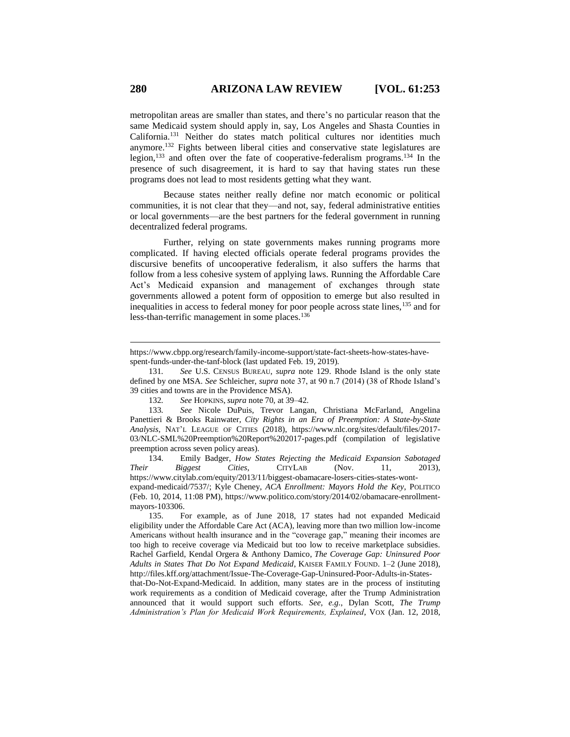metropolitan areas are smaller than states, and there's no particular reason that the same Medicaid system should apply in, say, Los Angeles and Shasta Counties in California.<sup>131</sup> Neither do states match political cultures nor identities much anymore.<sup>132</sup> Fights between liberal cities and conservative state legislatures are legion,<sup>133</sup> and often over the fate of cooperative-federalism programs.<sup>134</sup> In the presence of such disagreement, it is hard to say that having states run these programs does not lead to most residents getting what they want.

Because states neither really define nor match economic or political communities, it is not clear that they—and not, say, federal administrative entities or local governments—are the best partners for the federal government in running decentralized federal programs.

Further, relying on state governments makes running programs more complicated. If having elected officials operate federal programs provides the discursive benefits of uncooperative federalism, it also suffers the harms that follow from a less cohesive system of applying laws. Running the Affordable Care Act's Medicaid expansion and management of exchanges through state governments allowed a potent form of opposition to emerge but also resulted in inequalities in access to federal money for poor people across state lines,<sup>135</sup> and for less-than-terrific management in some places.<sup>136</sup>

132*. See* HOPKINS, *supra* note 70, at 39–42.

134. Emily Badger, *How States Rejecting the Medicaid Expansion Sabotaged Their Biggest Cities*, CITYLAB (Nov. 11, 2013), https://www.citylab.com/equity/2013/11/biggest-obamacare-losers-cities-states-wontexpand-medicaid/7537/; Kyle Cheney, *ACA Enrollment: Mayors Hold the Key*, POLITICO (Feb. 10, 2014, 11:08 PM), https://www.politico.com/story/2014/02/obamacare-enrollment-

mayors-103306.

135. For example, as of June 2018, 17 states had not expanded Medicaid eligibility under the Affordable Care Act (ACA), leaving more than two million low-income Americans without health insurance and in the "coverage gap," meaning their incomes are too high to receive coverage via Medicaid but too low to receive marketplace subsidies. Rachel Garfield, Kendal Orgera & Anthony Damico, *The Coverage Gap: Uninsured Poor Adults in States That Do Not Expand Medicaid*, KAISER FAMILY FOUND. 1–2 (June 2018), http://files.kff.org/attachment/Issue-The-Coverage-Gap-Uninsured-Poor-Adults-in-States-

that-Do-Not-Expand-Medicaid. In addition, many states are in the process of instituting work requirements as a condition of Medicaid coverage, after the Trump Administration announced that it would support such efforts. *See, e.g.*, Dylan Scott, *The Trump Administration's Plan for Medicaid Work Requirements, Explained*, VOX (Jan. 12, 2018,

https://www.cbpp.org/research/family-income-support/state-fact-sheets-how-states-havespent-funds-under-the-tanf-block (last updated Feb. 19, 2019).

<sup>131</sup>*. See* U.S. CENSUS BUREAU, *supra* note 129. Rhode Island is the only state defined by one MSA. *See* Schleicher, *supra* note 37, at 90 n.7 (2014) (38 of Rhode Island's 39 cities and towns are in the Providence MSA).

<sup>133</sup>*. See* Nicole DuPuis, Trevor Langan, Christiana McFarland, Angelina Panettieri & Brooks Rainwater, *City Rights in an Era of Preemption: A State-by-State Analysis*, NAT'L LEAGUE OF CITIES (2018), https://www.nlc.org/sites/default/files/2017- 03/NLC-SML%20Preemption%20Report%202017-pages.pdf (compilation of legislative preemption across seven policy areas).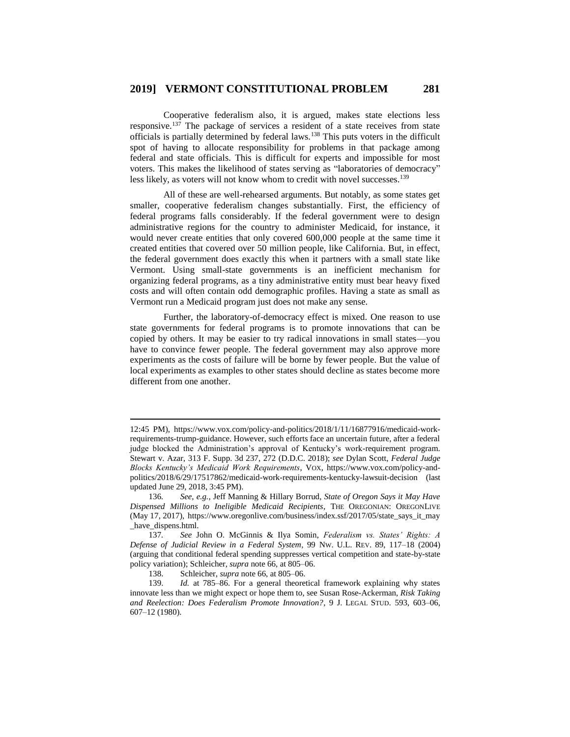Cooperative federalism also, it is argued, makes state elections less responsive.<sup>137</sup> The package of services a resident of a state receives from state officials is partially determined by federal laws.<sup>138</sup> This puts voters in the difficult spot of having to allocate responsibility for problems in that package among federal and state officials. This is difficult for experts and impossible for most voters. This makes the likelihood of states serving as "laboratories of democracy" less likely, as voters will not know whom to credit with novel successes.<sup>139</sup>

All of these are well-rehearsed arguments. But notably, as some states get smaller, cooperative federalism changes substantially. First, the efficiency of federal programs falls considerably. If the federal government were to design administrative regions for the country to administer Medicaid, for instance, it would never create entities that only covered 600,000 people at the same time it created entities that covered over 50 million people, like California. But, in effect, the federal government does exactly this when it partners with a small state like Vermont. Using small-state governments is an inefficient mechanism for organizing federal programs, as a tiny administrative entity must bear heavy fixed costs and will often contain odd demographic profiles. Having a state as small as Vermont run a Medicaid program just does not make any sense.

Further, the laboratory-of-democracy effect is mixed. One reason to use state governments for federal programs is to promote innovations that can be copied by others. It may be easier to try radical innovations in small states—you have to convince fewer people. The federal government may also approve more experiments as the costs of failure will be borne by fewer people. But the value of local experiments as examples to other states should decline as states become more different from one another.

138. Schleicher, *supra* note 66, at 805–06.<br>139. *Id.* at 785–86. For a general theore

<sup>12:45</sup> PM), https://www.vox.com/policy-and-politics/2018/1/11/16877916/medicaid-workrequirements-trump-guidance. However, such efforts face an uncertain future, after a federal judge blocked the Administration's approval of Kentucky's work-requirement program. Stewart v. Azar, 313 F. Supp. 3d 237, 272 (D.D.C. 2018); *see* Dylan Scott, *Federal Judge Blocks Kentucky's Medicaid Work Requirements*, VOX, https://www.vox.com/policy-andpolitics/2018/6/29/17517862/medicaid-work-requirements-kentucky-lawsuit-decision (last updated June 29, 2018, 3:45 PM).

<sup>136</sup>*. See, e.g.*, Jeff Manning & Hillary Borrud, *State of Oregon Says it May Have Dispensed Millions to Ineligible Medicaid Recipients*, THE OREGONIAN: OREGONLIVE (May 17, 2017), https://www.oregonlive.com/business/index.ssf/2017/05/state\_says\_it\_may \_have\_dispens.html.

<sup>137</sup>*. See* John O. McGinnis & Ilya Somin, *Federalism vs. States' Rights: A Defense of Judicial Review in a Federal System*, 99 NW. U.L. REV. 89, 117–18 (2004) (arguing that conditional federal spending suppresses vertical competition and state-by-state policy variation); Schleicher, *supra* note 66, at 805–06.

Id. at 785–86. For a general theoretical framework explaining why states innovate less than we might expect or hope them to, see Susan Rose-Ackerman, *Risk Taking and Reelection: Does Federalism Promote Innovation?*, 9 J. LEGAL STUD. 593, 603–06, 607–12 (1980).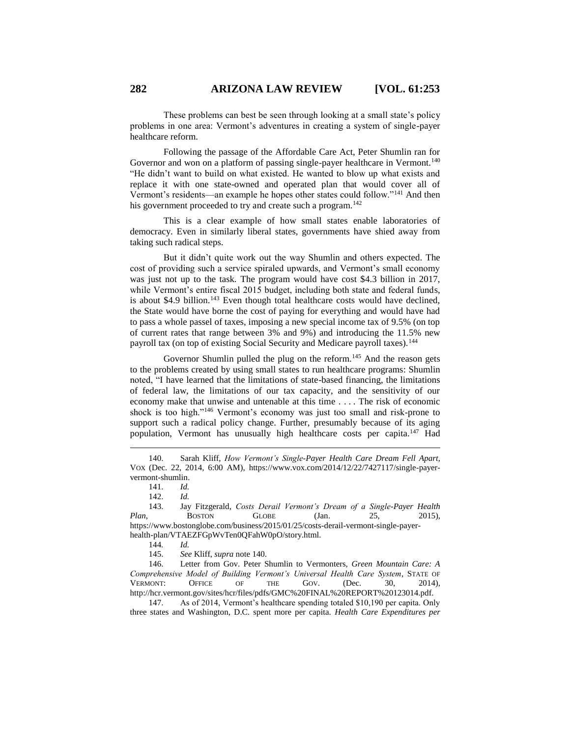These problems can best be seen through looking at a small state's policy problems in one area: Vermont's adventures in creating a system of single-payer healthcare reform.

Following the passage of the Affordable Care Act, Peter Shumlin ran for Governor and won on a platform of passing single-payer healthcare in Vermont.<sup>140</sup> "He didn't want to build on what existed. He wanted to blow up what exists and replace it with one state-owned and operated plan that would cover all of Vermont's residents—an example he hopes other states could follow."<sup>141</sup> And then his government proceeded to try and create such a program.<sup>142</sup>

This is a clear example of how small states enable laboratories of democracy. Even in similarly liberal states, governments have shied away from taking such radical steps.

But it didn't quite work out the way Shumlin and others expected. The cost of providing such a service spiraled upwards, and Vermont's small economy was just not up to the task. The program would have cost \$4.3 billion in 2017, while Vermont's entire fiscal 2015 budget, including both state and federal funds, is about \$4.9 billion.<sup>143</sup> Even though total healthcare costs would have declined, the State would have borne the cost of paying for everything and would have had to pass a whole passel of taxes, imposing a new special income tax of 9.5% (on top of current rates that range between 3% and 9%) and introducing the 11.5% new payroll tax (on top of existing Social Security and Medicare payroll taxes).<sup>144</sup>

Governor Shumlin pulled the plug on the reform.<sup>145</sup> And the reason gets to the problems created by using small states to run healthcare programs: Shumlin noted, "I have learned that the limitations of state-based financing, the limitations of federal law, the limitations of our tax capacity, and the sensitivity of our economy make that unwise and untenable at this time . . . . The risk of economic shock is too high."<sup>146</sup> Vermont's economy was just too small and risk-prone to support such a radical policy change. Further, presumably because of its aging population, Vermont has unusually high healthcare costs per capita.<sup>147</sup> Had

 $\overline{a}$ 

health-plan/VTAEZFGpWvTen0QFahW0pO/story.html.

144*. Id.*

145. *See* Kliff, *supra* note 140.

146. Letter from Gov. Peter Shumlin to Vermonters, *Green Mountain Care: A Comprehensive Model of Building Vermont's Universal Health Care System*, STATE OF VERMONT: OFFICE OF THE GOV. (Dec. 30, 2014), http://hcr.vermont.gov/sites/hcr/files/pdfs/GMC%20FINAL%20REPORT%20123014.pdf.

147. As of 2014, Vermont's healthcare spending totaled \$10,190 per capita. Only three states and Washington, D.C. spent more per capita. *Health Care Expenditures per* 

<sup>140.</sup> Sarah Kliff, *How Vermont's Single-Payer Health Care Dream Fell Apart*, VOX (Dec. 22, 2014, 6:00 AM), https://www.vox.com/2014/12/22/7427117/single-payervermont-shumlin.

<sup>141.</sup> *Id.*

<sup>142.</sup> *Id.*

<sup>143.</sup> Jay Fitzgerald, *Costs Derail Vermont's Dream of a Single-Payer Health Plan*, **BOSTON GLOBE** (Jan. 25, 2015), https://www.bostonglobe.com/business/2015/01/25/costs-derail-vermont-single-payer-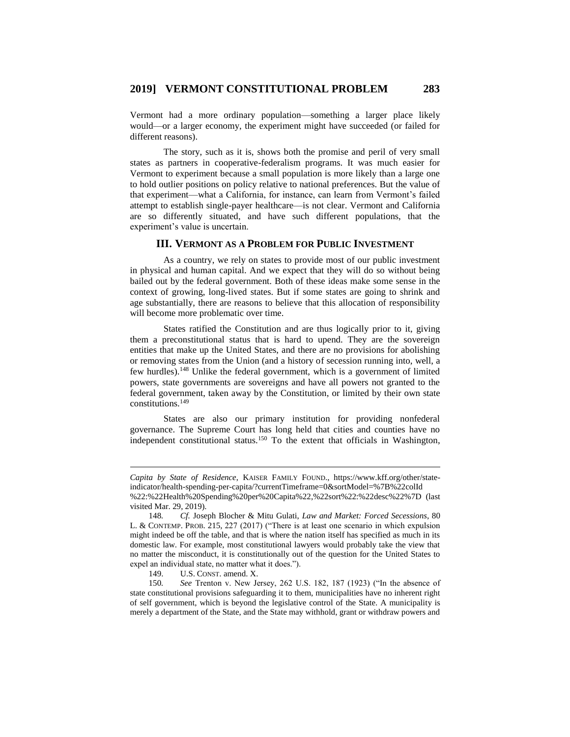Vermont had a more ordinary population—something a larger place likely would—or a larger economy, the experiment might have succeeded (or failed for different reasons).

The story, such as it is, shows both the promise and peril of very small states as partners in cooperative-federalism programs. It was much easier for Vermont to experiment because a small population is more likely than a large one to hold outlier positions on policy relative to national preferences. But the value of that experiment—what a California, for instance, can learn from Vermont's failed attempt to establish single-payer healthcare—is not clear. Vermont and California are so differently situated, and have such different populations, that the experiment's value is uncertain.

### **III. VERMONT AS A PROBLEM FOR PUBLIC INVESTMENT**

As a country, we rely on states to provide most of our public investment in physical and human capital. And we expect that they will do so without being bailed out by the federal government. Both of these ideas make some sense in the context of growing, long-lived states. But if some states are going to shrink and age substantially, there are reasons to believe that this allocation of responsibility will become more problematic over time.

States ratified the Constitution and are thus logically prior to it, giving them a preconstitutional status that is hard to upend. They are the sovereign entities that make up the United States, and there are no provisions for abolishing or removing states from the Union (and a history of secession running into, well, a few hurdles).<sup>148</sup> Unlike the federal government, which is a government of limited powers, state governments are sovereigns and have all powers not granted to the federal government, taken away by the Constitution, or limited by their own state constitutions.<sup>149</sup>

States are also our primary institution for providing nonfederal governance. The Supreme Court has long held that cities and counties have no independent constitutional status.<sup>150</sup> To the extent that officials in Washington,

*Capita by State of Residence*, KAISER FAMILY FOUND., https://www.kff.org/other/stateindicator/health-spending-per-capita/?currentTimeframe=0&sortModel=%7B%22colId %22:%22Health%20Spending%20per%20Capita%22,%22sort%22:%22desc%22%7D (last visited Mar. 29, 2019).

<sup>148</sup>*. Cf.* Joseph Blocher & Mitu Gulati, *Law and Market: Forced Secessions*, 80 L. & CONTEMP. PROB. 215, 227 (2017) ("There is at least one scenario in which expulsion might indeed be off the table, and that is where the nation itself has specified as much in its domestic law. For example, most constitutional lawyers would probably take the view that no matter the misconduct, it is constitutionally out of the question for the United States to expel an individual state, no matter what it does.").

<sup>149.</sup> U.S. CONST. amend. X.

<sup>150</sup>*. See* Trenton v. New Jersey, 262 U.S. 182, 187 (1923) ("In the absence of state constitutional provisions safeguarding it to them, municipalities have no inherent right of self government, which is beyond the legislative control of the State. A municipality is merely a department of the State, and the State may withhold, grant or withdraw powers and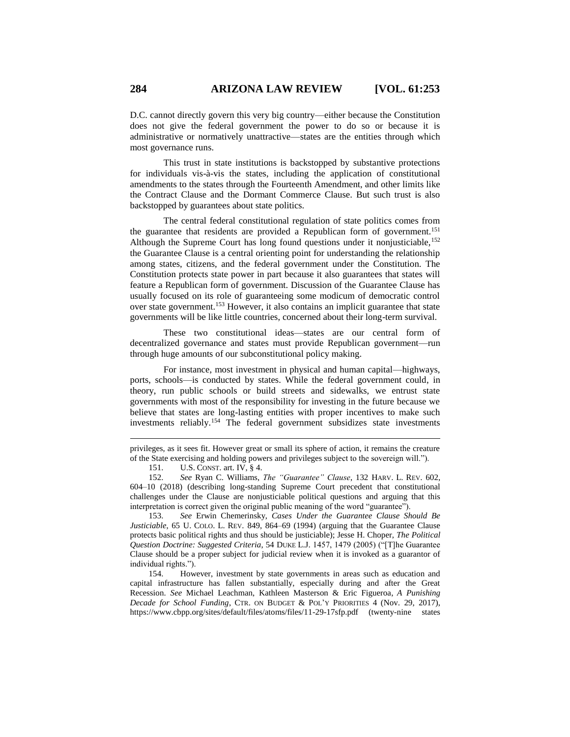D.C. cannot directly govern this very big country—either because the Constitution does not give the federal government the power to do so or because it is administrative or normatively unattractive—states are the entities through which most governance runs.

This trust in state institutions is backstopped by substantive protections for individuals vis-à-vis the states, including the application of constitutional amendments to the states through the Fourteenth Amendment, and other limits like the Contract Clause and the Dormant Commerce Clause. But such trust is also backstopped by guarantees about state politics.

The central federal constitutional regulation of state politics comes from the guarantee that residents are provided a Republican form of government.<sup>151</sup> Although the Supreme Court has long found questions under it nonjusticiable,  $152$ the Guarantee Clause is a central orienting point for understanding the relationship among states, citizens, and the federal government under the Constitution. The Constitution protects state power in part because it also guarantees that states will feature a Republican form of government. Discussion of the Guarantee Clause has usually focused on its role of guaranteeing some modicum of democratic control over state government.<sup>153</sup> However, it also contains an implicit guarantee that state governments will be like little countries, concerned about their long-term survival.

These two constitutional ideas—states are our central form of decentralized governance and states must provide Republican government—run through huge amounts of our subconstitutional policy making.

For instance, most investment in physical and human capital—highways, ports, schools—is conducted by states. While the federal government could, in theory, run public schools or build streets and sidewalks, we entrust state governments with most of the responsibility for investing in the future because we believe that states are long-lasting entities with proper incentives to make such investments reliably.<sup>154</sup> The federal government subsidizes state investments

151. U.S. CONST. art. IV, § 4.

152. *See* Ryan C. Williams, *The "Guarantee" Clause*, 132 HARV. L. REV. 602, 604–10 (2018) (describing long-standing Supreme Court precedent that constitutional challenges under the Clause are nonjusticiable political questions and arguing that this interpretation is correct given the original public meaning of the word "guarantee").

153. *See* Erwin Chemerinsky, *Cases Under the Guarantee Clause Should Be Justiciable*, 65 U. COLO. L. REV. 849, 864–69 (1994) (arguing that the Guarantee Clause protects basic political rights and thus should be justiciable); Jesse H. Choper, *The Political Question Doctrine: Suggested Criteria*, 54 DUKE L.J. 1457, 1479 (2005) ("[T]he Guarantee Clause should be a proper subject for judicial review when it is invoked as a guarantor of individual rights.").

154. However, investment by state governments in areas such as education and capital infrastructure has fallen substantially, especially during and after the Great Recession. *See* Michael Leachman, Kathleen Masterson & Eric Figueroa, *A Punishing Decade for School Funding*, CTR. ON BUDGET & POL'Y PRIORITIES 4 (Nov. 29, 2017), https://www.cbpp.org/sites/default/files/atoms/files/11-29-17sfp.pdf (twenty-nine states

privileges, as it sees fit. However great or small its sphere of action, it remains the creature of the State exercising and holding powers and privileges subject to the sovereign will.").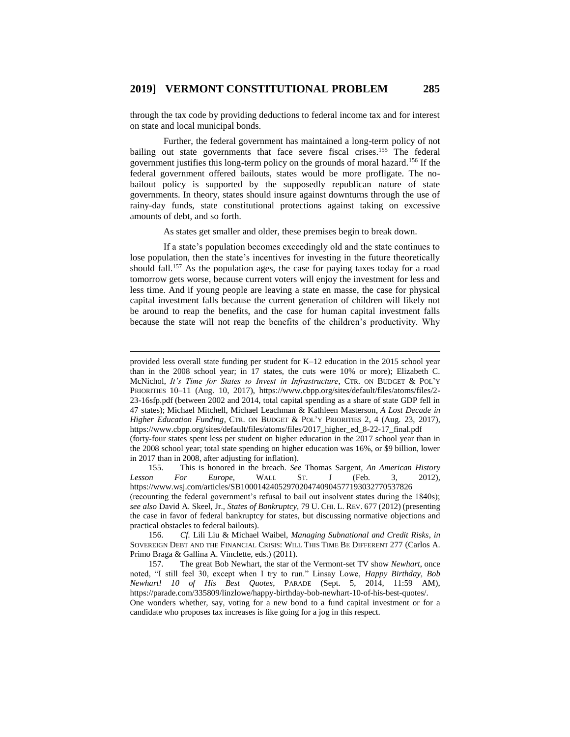through the tax code by providing deductions to federal income tax and for interest on state and local municipal bonds.

Further, the federal government has maintained a long-term policy of not bailing out state governments that face severe fiscal crises.<sup>155</sup> The federal government justifies this long-term policy on the grounds of moral hazard.<sup>156</sup> If the federal government offered bailouts, states would be more profligate. The nobailout policy is supported by the supposedly republican nature of state governments. In theory, states should insure against downturns through the use of rainy-day funds, state constitutional protections against taking on excessive amounts of debt, and so forth.

As states get smaller and older, these premises begin to break down.

If a state's population becomes exceedingly old and the state continues to lose population, then the state's incentives for investing in the future theoretically should fall.<sup>157</sup> As the population ages, the case for paying taxes today for a road tomorrow gets worse, because current voters will enjoy the investment for less and less time. And if young people are leaving a state en masse, the case for physical capital investment falls because the current generation of children will likely not be around to reap the benefits, and the case for human capital investment falls because the state will not reap the benefits of the children's productivity. Why

provided less overall state funding per student for K–12 education in the 2015 school year than in the 2008 school year; in 17 states, the cuts were 10% or more); Elizabeth C. McNichol, *It's Time for States to Invest in Infrastructure*, CTR. ON BUDGET & POL'Y PRIORITIES 10–11 (Aug. 10, 2017), https://www.cbpp.org/sites/default/files/atoms/files/2- 23-16sfp.pdf (between 2002 and 2014, total capital spending as a share of state GDP fell in 47 states); Michael Mitchell, Michael Leachman & Kathleen Masterson, *A Lost Decade in Higher Education Funding*, CTR. ON BUDGET & POL'Y PRIORITIES 2, 4 (Aug. 23, 2017), https://www.cbpp.org/sites/default/files/atoms/files/2017\_higher\_ed\_8-22-17\_final.pdf (forty-four states spent less per student on higher education in the 2017 school year than in the 2008 school year; total state spending on higher education was 16%, or \$9 billion, lower in 2017 than in 2008, after adjusting for inflation).

<sup>155.</sup> This is honored in the breach. *See* Thomas Sargent, *An American History Lesson For Europe*, WALL ST. J (Feb. 3, 2012), https://www.wsj.com/articles/SB10001424052970204740904577193032770537826 (recounting the federal government's refusal to bail out insolvent states during the 1840s); *see also* David A. Skeel, Jr., *States of Bankruptcy,* 79 U. CHI. L. REV. 677 (2012) (presenting the case in favor of federal bankruptcy for states, but discussing normative objections and practical obstacles to federal bailouts).

<sup>156.</sup> *Cf.* Lili Liu & Michael Waibel, *Managing Subnational and Credit Risks*, *in* SOVEREIGN DEBT AND THE FINANCIAL CRISIS: WILL THIS TIME BE DIFFERENT 277 (Carlos A. Primo Braga & Gallina A. Vinclette, eds.) (2011).

<sup>157.</sup> The great Bob Newhart, the star of the Vermont-set TV show *Newhart*, once noted, "I still feel 30, except when I try to run." Linsay Lowe, *Happy Birthday, Bob Newhart! 10 of His Best Quotes*, PARADE (Sept. 5, 2014, 11:59 AM), https://parade.com/335809/linzlowe/happy-birthday-bob-newhart-10-of-his-best-quotes/. One wonders whether, say, voting for a new bond to a fund capital investment or for a candidate who proposes tax increases is like going for a jog in this respect.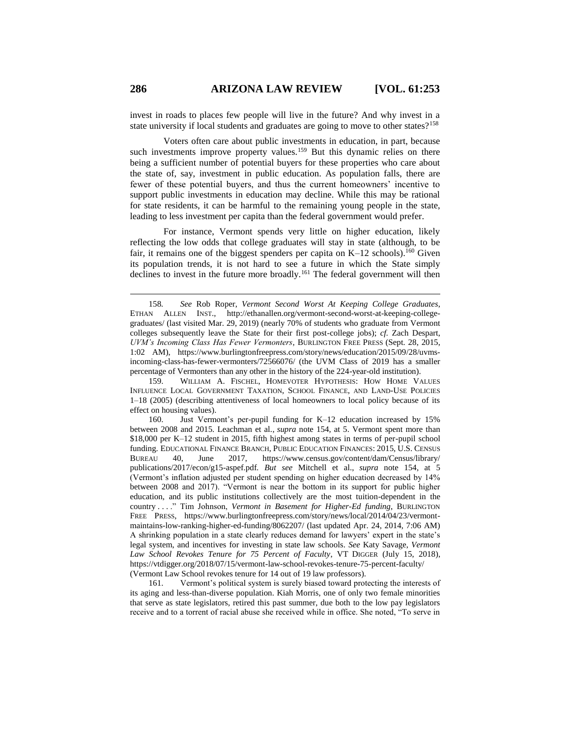invest in roads to places few people will live in the future? And why invest in a state university if local students and graduates are going to move to other states?<sup>158</sup>

Voters often care about public investments in education, in part, because such investments improve property values.<sup>159</sup> But this dynamic relies on there being a sufficient number of potential buyers for these properties who care about the state of, say, investment in public education. As population falls, there are fewer of these potential buyers, and thus the current homeowners' incentive to support public investments in education may decline. While this may be rational for state residents, it can be harmful to the remaining young people in the state, leading to less investment per capita than the federal government would prefer.

For instance, Vermont spends very little on higher education, likely reflecting the low odds that college graduates will stay in state (although, to be fair, it remains one of the biggest spenders per capita on  $K-12$  schools).<sup>160</sup> Given its population trends, it is not hard to see a future in which the State simply declines to invest in the future more broadly.<sup>161</sup> The federal government will then

159. WILLIAM A. FISCHEL, HOMEVOTER HYPOTHESIS: HOW HOME VALUES INFLUENCE LOCAL GOVERNMENT TAXATION, SCHOOL FINANCE, AND LAND-USE POLICIES 1–18 (2005) (describing attentiveness of local homeowners to local policy because of its effect on housing values).

161. Vermont's political system is surely biased toward protecting the interests of its aging and less-than-diverse population. Kiah Morris, one of only two female minorities that serve as state legislators, retired this past summer, due both to the low pay legislators receive and to a torrent of racial abuse she received while in office. She noted, "To serve in

<sup>158</sup>*. See* Rob Roper, *Vermont Second Worst At Keeping College Graduates*, ETHAN ALLEN INST., http://ethanallen.org/vermont-second-worst-at-keeping-collegegraduates/ (last visited Mar. 29, 2019) (nearly 70% of students who graduate from Vermont colleges subsequently leave the State for their first post-college jobs); *cf.* Zach Despart, *UVM's Incoming Class Has Fewer Vermonters*, BURLINGTON FREE PRESS (Sept. 28, 2015, 1:02 AM), https://www.burlingtonfreepress.com/story/news/education/2015/09/28/uvmsincoming-class-has-fewer-vermonters/72566076/ (the UVM Class of 2019 has a smaller percentage of Vermonters than any other in the history of the 224-year-old institution).

<sup>160.</sup> Just Vermont's per-pupil funding for K–12 education increased by 15% between 2008 and 2015. Leachman et al., *supra* note 154, at 5. Vermont spent more than \$18,000 per K–12 student in 2015, fifth highest among states in terms of per-pupil school funding. EDUCATIONAL FINANCE BRANCH, PUBLIC EDUCATION FINANCES: 2015, U.S. CENSUS BUREAU 40, June 2017, https://www.census.gov/content/dam/Census/library/ publications/2017/econ/g15-aspef.pdf*. But see* Mitchell et al., *supra* note 154, at 5 (Vermont's inflation adjusted per student spending on higher education decreased by 14% between 2008 and 2017). "Vermont is near the bottom in its support for public higher education, and its public institutions collectively are the most tuition-dependent in the country . . . ." Tim Johnson, *Vermont in Basement for Higher-Ed funding*, BURLINGTON FREE PRESS, https://www.burlingtonfreepress.com/story/news/local/2014/04/23/vermontmaintains-low-ranking-higher-ed-funding/8062207/ (last updated Apr. 24, 2014, 7:06 AM) A shrinking population in a state clearly reduces demand for lawyers' expert in the state's legal system, and incentives for investing in state law schools. *See* Katy Savage, *Vermont Law School Revokes Tenure for 75 Percent of Faculty*, VT DIGGER (July 15, 2018), https://vtdigger.org/2018/07/15/vermont-law-school-revokes-tenure-75-percent-faculty/ (Vermont Law School revokes tenure for 14 out of 19 law professors).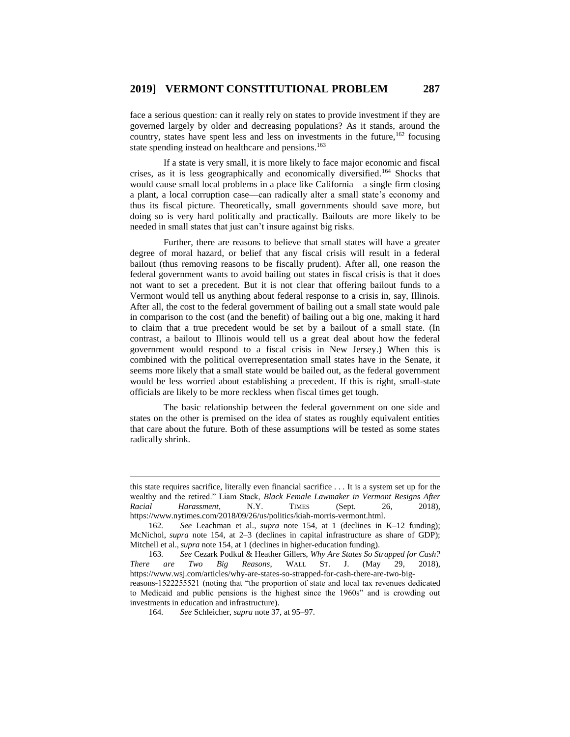face a serious question: can it really rely on states to provide investment if they are governed largely by older and decreasing populations? As it stands, around the country, states have spent less and less on investments in the future,  $162$  focusing state spending instead on healthcare and pensions.<sup>163</sup>

If a state is very small, it is more likely to face major economic and fiscal crises, as it is less geographically and economically diversified.<sup>164</sup> Shocks that would cause small local problems in a place like California—a single firm closing a plant, a local corruption case—can radically alter a small state's economy and thus its fiscal picture. Theoretically, small governments should save more, but doing so is very hard politically and practically. Bailouts are more likely to be needed in small states that just can't insure against big risks.

Further, there are reasons to believe that small states will have a greater degree of moral hazard, or belief that any fiscal crisis will result in a federal bailout (thus removing reasons to be fiscally prudent). After all, one reason the federal government wants to avoid bailing out states in fiscal crisis is that it does not want to set a precedent. But it is not clear that offering bailout funds to a Vermont would tell us anything about federal response to a crisis in, say, Illinois. After all, the cost to the federal government of bailing out a small state would pale in comparison to the cost (and the benefit) of bailing out a big one, making it hard to claim that a true precedent would be set by a bailout of a small state. (In contrast, a bailout to Illinois would tell us a great deal about how the federal government would respond to a fiscal crisis in New Jersey.) When this is combined with the political overrepresentation small states have in the Senate, it seems more likely that a small state would be bailed out, as the federal government would be less worried about establishing a precedent. If this is right, small-state officials are likely to be more reckless when fiscal times get tough.

The basic relationship between the federal government on one side and states on the other is premised on the idea of states as roughly equivalent entities that care about the future. Both of these assumptions will be tested as some states radically shrink.

this state requires sacrifice, literally even financial sacrifice . . . It is a system set up for the wealthy and the retired." Liam Stack, *Black Female Lawmaker in Vermont Resigns After Racial Harassment*, N.Y. TIMES (Sept. 26, 2018), https://www.nytimes.com/2018/09/26/us/politics/kiah-morris-vermont.html.

<sup>162</sup>*. See* Leachman et al., *supra* note 154, at 1 (declines in K–12 funding); McNichol, *supra* note 154, at 2–3 (declines in capital infrastructure as share of GDP); Mitchell et al., *supra* note 154, at 1 (declines in higher-education funding).

<sup>163</sup>*. See* Cezark Podkul & Heather Gillers, *Why Are States So Strapped for Cash? There are Two Big Reasons*, WALL ST. J. (May 29, 2018), https://www.wsj.com/articles/why-are-states-so-strapped-for-cash-there-are-two-bigreasons-1522255521 (noting that "the proportion of state and local tax revenues dedicated

to Medicaid and public pensions is the highest since the 1960s" and is crowding out investments in education and infrastructure).

<sup>164</sup>*. See* Schleicher, *supra* note 37, at 95–97.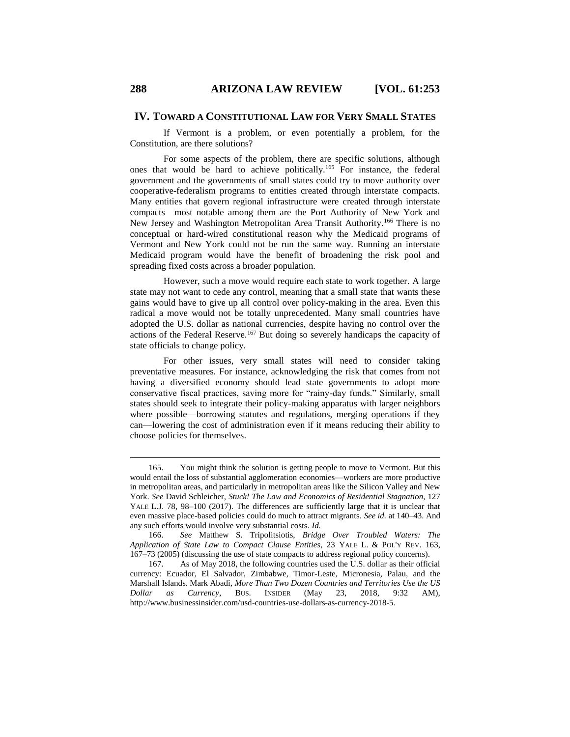#### **IV. TOWARD A CONSTITUTIONAL LAW FOR VERY SMALL STATES**

If Vermont is a problem, or even potentially a problem, for the Constitution, are there solutions?

For some aspects of the problem, there are specific solutions, although ones that would be hard to achieve politically.<sup>165</sup> For instance, the federal government and the governments of small states could try to move authority over cooperative-federalism programs to entities created through interstate compacts. Many entities that govern regional infrastructure were created through interstate compacts—most notable among them are the Port Authority of New York and New Jersey and Washington Metropolitan Area Transit Authority.<sup>166</sup> There is no conceptual or hard-wired constitutional reason why the Medicaid programs of Vermont and New York could not be run the same way. Running an interstate Medicaid program would have the benefit of broadening the risk pool and spreading fixed costs across a broader population.

However, such a move would require each state to work together. A large state may not want to cede any control, meaning that a small state that wants these gains would have to give up all control over policy-making in the area. Even this radical a move would not be totally unprecedented. Many small countries have adopted the U.S. dollar as national currencies, despite having no control over the actions of the Federal Reserve.<sup>167</sup> But doing so severely handicaps the capacity of state officials to change policy.

For other issues, very small states will need to consider taking preventative measures. For instance, acknowledging the risk that comes from not having a diversified economy should lead state governments to adopt more conservative fiscal practices, saving more for "rainy-day funds." Similarly, small states should seek to integrate their policy-making apparatus with larger neighbors where possible—borrowing statutes and regulations, merging operations if they can—lowering the cost of administration even if it means reducing their ability to choose policies for themselves.

<sup>165.</sup> You might think the solution is getting people to move to Vermont. But this would entail the loss of substantial agglomeration economies—workers are more productive in metropolitan areas, and particularly in metropolitan areas like the Silicon Valley and New York. *See* David Schleicher, *Stuck! The Law and Economics of Residential Stagnation*, 127 YALE L.J. 78, 98-100 (2017). The differences are sufficiently large that it is unclear that even massive place-based policies could do much to attract migrants. *See id.* at 140–43. And any such efforts would involve very substantial costs. *Id.*

<sup>166.</sup> *See* Matthew S. Tripolitsiotis, *Bridge Over Troubled Waters: The Application of State Law to Compact Clause Entities*, 23 YALE L. & POL'Y REV. 163, 167–73 (2005) (discussing the use of state compacts to address regional policy concerns).

<sup>167.</sup> As of May 2018, the following countries used the U.S. dollar as their official currency: Ecuador, El Salvador, Zimbabwe, Timor-Leste, Micronesia, Palau, and the Marshall Islands. Mark Abadi, *More Than Two Dozen Countries and Territories Use the US Dollar as Currency*, BUS. INSIDER (May 23, 2018, 9:32 AM), http://www.businessinsider.com/usd-countries-use-dollars-as-currency-2018-5.